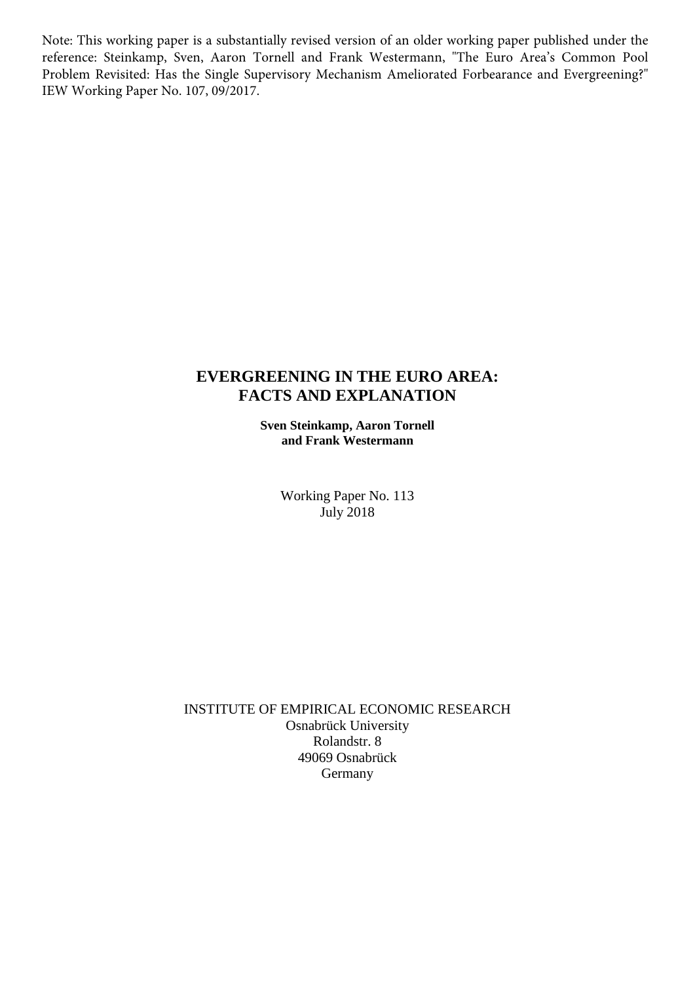Note: This working paper is a substantially revised version of an older working paper published under the reference: Steinkamp, Sven, Aaron Tornell and Frank Westermann, "The Euro Area's Common Pool Problem Revisited: Has the Single Supervisory Mechanism Ameliorated Forbearance and Evergreening?" IEW Working Paper No. 107, 09/2017.

### **EVERGREENING IN THE EURO AREA: FACTS AND EXPLANATION**

**Sven Steinkamp, Aaron Tornell and Frank Westermann**

> Working Paper No. 113 July 2018

INSTITUTE OF EMPIRICAL ECONOMIC RESEARCH Osnabrück University Rolandstr. 8 49069 Osnabrück Germany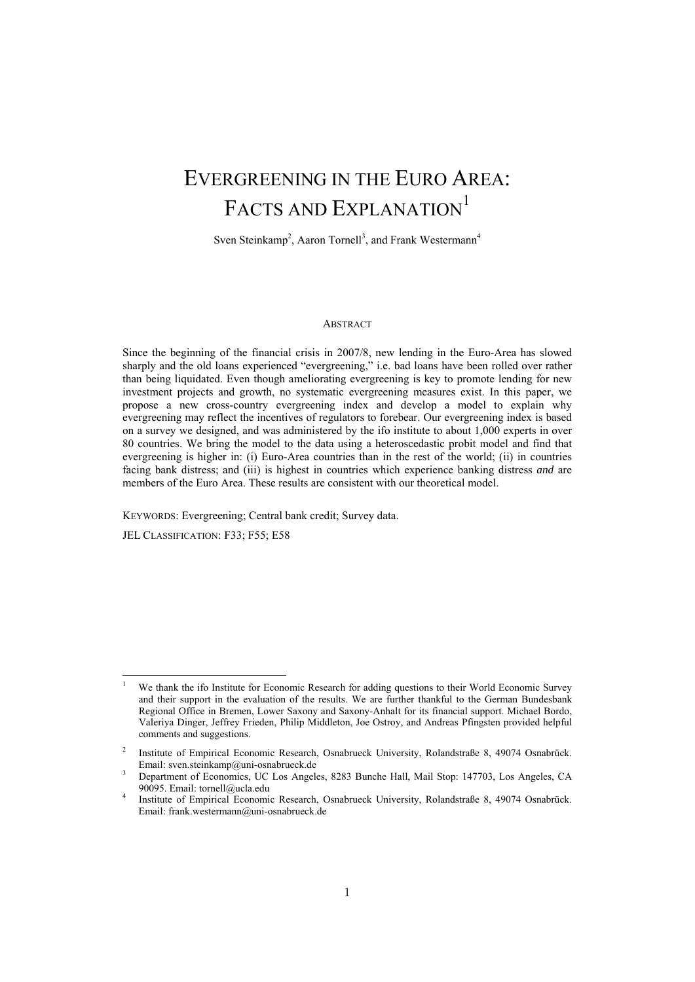# EVERGREENING IN THE EURO AREA: FACTS AND EXPLANATION<sup>1</sup>

Sven Steinkamp<sup>2</sup>, Aaron Tornell<sup>3</sup>, and Frank Westermann<sup>4</sup>

#### ABSTRACT

Since the beginning of the financial crisis in 2007/8, new lending in the Euro-Area has slowed sharply and the old loans experienced "evergreening," i.e. bad loans have been rolled over rather than being liquidated. Even though ameliorating evergreening is key to promote lending for new investment projects and growth, no systematic evergreening measures exist. In this paper, we propose a new cross-country evergreening index and develop a model to explain why evergreening may reflect the incentives of regulators to forebear. Our evergreening index is based on a survey we designed, and was administered by the ifo institute to about 1,000 experts in over 80 countries. We bring the model to the data using a heteroscedastic probit model and find that evergreening is higher in: (i) Euro-Area countries than in the rest of the world; (ii) in countries facing bank distress; and (iii) is highest in countries which experience banking distress *and* are members of the Euro Area. These results are consistent with our theoretical model.

KEYWORDS: Evergreening; Central bank credit; Survey data.

JEL CLASSIFICATION: F33; F55; E58

<sup>1</sup> We thank the ifo Institute for Economic Research for adding questions to their World Economic Survey and their support in the evaluation of the results. We are further thankful to the German Bundesbank Regional Office in Bremen, Lower Saxony and Saxony-Anhalt for its financial support. Michael Bordo, Valeriya Dinger, Jeffrey Frieden, Philip Middleton, Joe Ostroy, and Andreas Pfingsten provided helpful comments and suggestions.

<sup>2</sup> Institute of Empirical Economic Research, Osnabrueck University, Rolandstraße 8, 49074 Osnabrück. Email: sven.steinkamp@uni-osnabrueck.de 3

Department of Economics, UC Los Angeles, 8283 Bunche Hall, Mail Stop: 147703, Los Angeles, CA 90095. Email: tornell@ucla.edu 4

Institute of Empirical Economic Research, Osnabrueck University, Rolandstraße 8, 49074 Osnabrück. Email: frank.westermann@uni-osnabrueck.de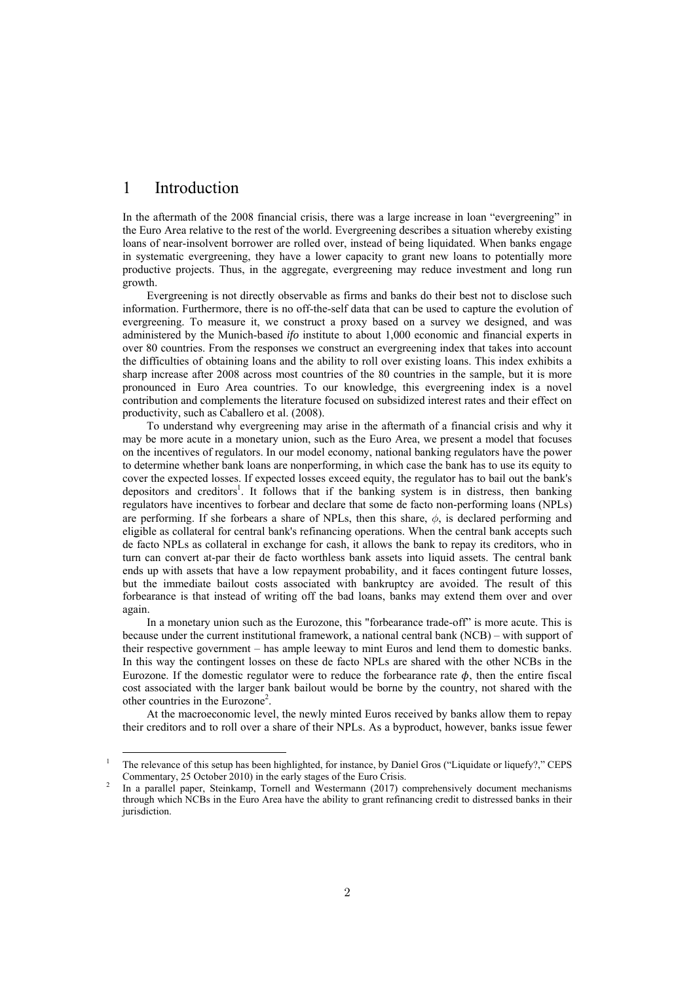#### 1 Introduction

In the aftermath of the 2008 financial crisis, there was a large increase in loan "evergreening" in the Euro Area relative to the rest of the world. Evergreening describes a situation whereby existing loans of near-insolvent borrower are rolled over, instead of being liquidated. When banks engage in systematic evergreening, they have a lower capacity to grant new loans to potentially more productive projects. Thus, in the aggregate, evergreening may reduce investment and long run growth.

Evergreening is not directly observable as firms and banks do their best not to disclose such information. Furthermore, there is no off-the-self data that can be used to capture the evolution of evergreening. To measure it, we construct a proxy based on a survey we designed, and was administered by the Munich-based *ifo* institute to about 1,000 economic and financial experts in over 80 countries. From the responses we construct an evergreening index that takes into account the difficulties of obtaining loans and the ability to roll over existing loans. This index exhibits a sharp increase after 2008 across most countries of the 80 countries in the sample, but it is more pronounced in Euro Area countries. To our knowledge, this evergreening index is a novel contribution and complements the literature focused on subsidized interest rates and their effect on productivity, such as Caballero et al. (2008).

To understand why evergreening may arise in the aftermath of a financial crisis and why it may be more acute in a monetary union, such as the Euro Area, we present a model that focuses on the incentives of regulators. In our model economy, national banking regulators have the power to determine whether bank loans are nonperforming, in which case the bank has to use its equity to cover the expected losses. If expected losses exceed equity, the regulator has to bail out the bank's depositors and creditors<sup>1</sup>. It follows that if the banking system is in distress, then banking regulators have incentives to forbear and declare that some de facto non-performing loans (NPLs) are performing. If she forbears a share of NPLs, then this share,  $\phi$ , is declared performing and eligible as collateral for central bank's refinancing operations. When the central bank accepts such de facto NPLs as collateral in exchange for cash, it allows the bank to repay its creditors, who in turn can convert at-par their de facto worthless bank assets into liquid assets. The central bank ends up with assets that have a low repayment probability, and it faces contingent future losses, but the immediate bailout costs associated with bankruptcy are avoided. The result of this forbearance is that instead of writing off the bad loans, banks may extend them over and over again.

In a monetary union such as the Eurozone, this "forbearance trade-off" is more acute. This is because under the current institutional framework, a national central bank (NCB) – with support of their respective government – has ample leeway to mint Euros and lend them to domestic banks. In this way the contingent losses on these de facto NPLs are shared with the other NCBs in the Eurozone. If the domestic regulator were to reduce the forbearance rate  $\phi$ , then the entire fiscal cost associated with the larger bank bailout would be borne by the country, not shared with the other countries in the Eurozone<sup>2</sup>.

At the macroeconomic level, the newly minted Euros received by banks allow them to repay their creditors and to roll over a share of their NPLs. As a byproduct, however, banks issue fewer

<sup>&</sup>lt;sup>1</sup> The relevance of this setup has been highlighted, for instance, by Daniel Gros ("Liquidate or liquefy?," CEPS Commentary, 25 October 2010) in the early stages of the Euro Crisis.

In a parallel paper, Steinkamp, Tornell and Westermann (2017) comprehensively document mechanisms through which NCBs in the Euro Area have the ability to grant refinancing credit to distressed banks in their jurisdiction.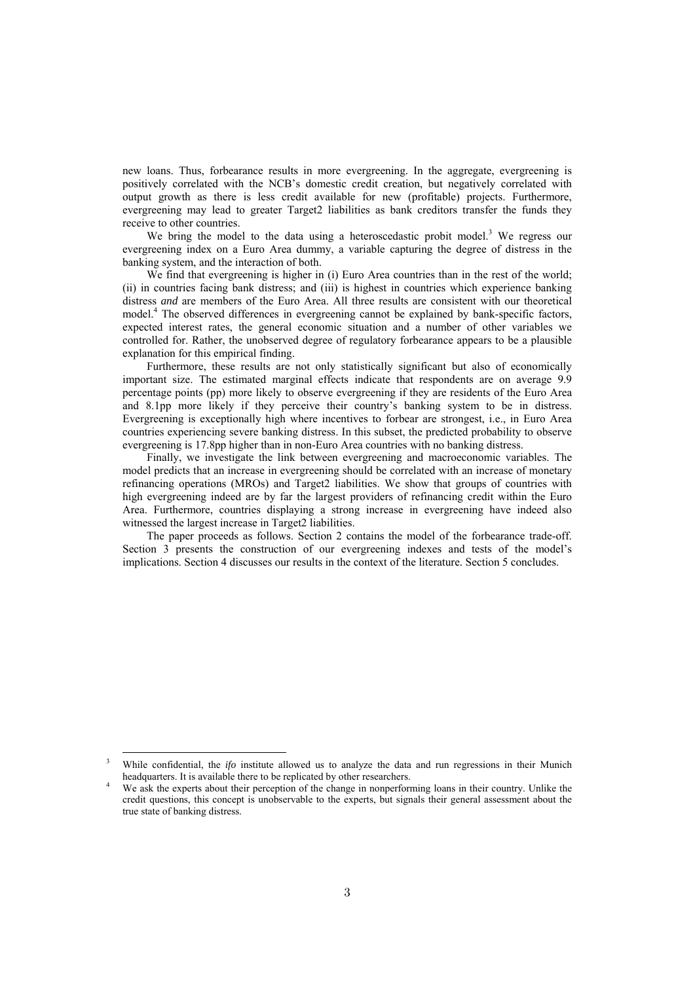new loans. Thus, forbearance results in more evergreening. In the aggregate, evergreening is positively correlated with the NCB's domestic credit creation, but negatively correlated with output growth as there is less credit available for new (profitable) projects. Furthermore, evergreening may lead to greater Target2 liabilities as bank creditors transfer the funds they receive to other countries.

We bring the model to the data using a heteroscedastic probit model.<sup>3</sup> We regress our evergreening index on a Euro Area dummy, a variable capturing the degree of distress in the banking system, and the interaction of both.

We find that evergreening is higher in (i) Euro Area countries than in the rest of the world; (ii) in countries facing bank distress; and (iii) is highest in countries which experience banking distress *and* are members of the Euro Area. All three results are consistent with our theoretical model.<sup>4</sup> The observed differences in evergreening cannot be explained by bank-specific factors, expected interest rates, the general economic situation and a number of other variables we controlled for. Rather, the unobserved degree of regulatory forbearance appears to be a plausible explanation for this empirical finding.

Furthermore, these results are not only statistically significant but also of economically important size. The estimated marginal effects indicate that respondents are on average 9.9 percentage points (pp) more likely to observe evergreening if they are residents of the Euro Area and 8.1pp more likely if they perceive their country's banking system to be in distress. Evergreening is exceptionally high where incentives to forbear are strongest, i.e., in Euro Area countries experiencing severe banking distress. In this subset, the predicted probability to observe evergreening is 17.8pp higher than in non-Euro Area countries with no banking distress.

Finally, we investigate the link between evergreening and macroeconomic variables. The model predicts that an increase in evergreening should be correlated with an increase of monetary refinancing operations (MROs) and Target2 liabilities. We show that groups of countries with high evergreening indeed are by far the largest providers of refinancing credit within the Euro Area. Furthermore, countries displaying a strong increase in evergreening have indeed also witnessed the largest increase in Target2 liabilities.

The paper proceeds as follows. Section 2 contains the model of the forbearance trade-off. Section 3 presents the construction of our evergreening indexes and tests of the model's implications. Section 4 discusses our results in the context of the literature. Section 5 concludes.

<sup>&</sup>lt;sup>3</sup> While confidential, the *ifo* institute allowed us to analyze the data and run regressions in their Munich headquarters. It is available there to be replicated by other researchers.

We ask the experts about their perception of the change in nonperforming loans in their country. Unlike the credit questions, this concept is unobservable to the experts, but signals their general assessment about the true state of banking distress.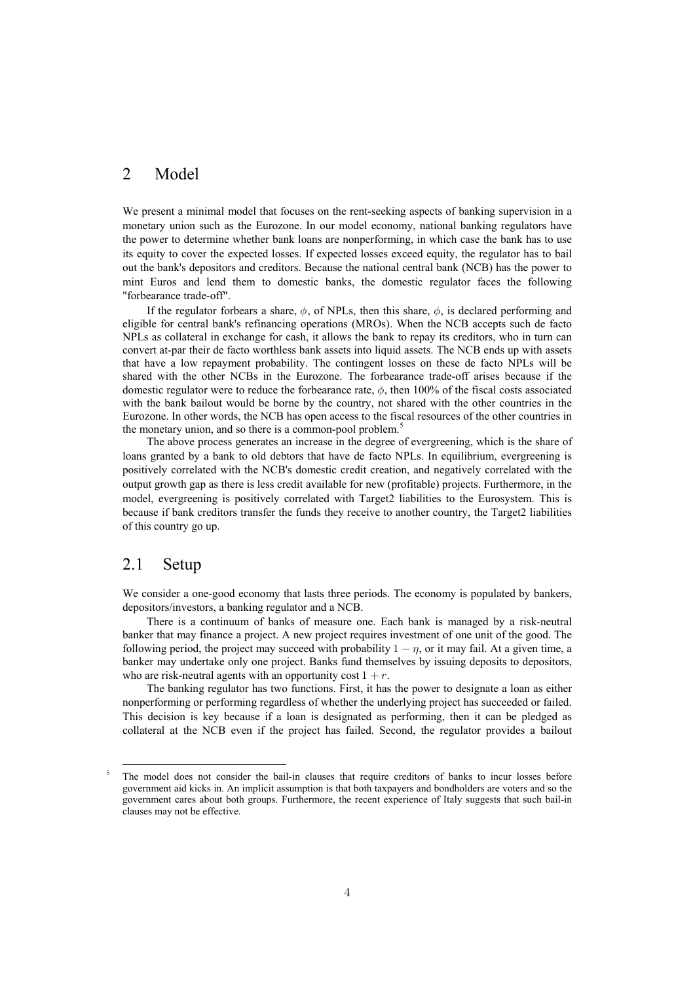#### 2 Model

We present a minimal model that focuses on the rent-seeking aspects of banking supervision in a monetary union such as the Eurozone. In our model economy, national banking regulators have the power to determine whether bank loans are nonperforming, in which case the bank has to use its equity to cover the expected losses. If expected losses exceed equity, the regulator has to bail out the bank's depositors and creditors. Because the national central bank (NCB) has the power to mint Euros and lend them to domestic banks, the domestic regulator faces the following "forbearance trade-off".

If the regulator forbears a share,  $\phi$ , of NPLs, then this share,  $\phi$ , is declared performing and eligible for central bank's refinancing operations (MROs). When the NCB accepts such de facto NPLs as collateral in exchange for cash, it allows the bank to repay its creditors, who in turn can convert at-par their de facto worthless bank assets into liquid assets. The NCB ends up with assets that have a low repayment probability. The contingent losses on these de facto NPLs will be shared with the other NCBs in the Eurozone. The forbearance trade-off arises because if the domestic regulator were to reduce the forbearance rate,  $\phi$ , then 100% of the fiscal costs associated with the bank bailout would be borne by the country, not shared with the other countries in the Eurozone. In other words, the NCB has open access to the fiscal resources of the other countries in the monetary union, and so there is a common-pool problem.<sup>5</sup>

The above process generates an increase in the degree of evergreening, which is the share of loans granted by a bank to old debtors that have de facto NPLs. In equilibrium, evergreening is positively correlated with the NCB's domestic credit creation, and negatively correlated with the output growth gap as there is less credit available for new (profitable) projects. Furthermore, in the model, evergreening is positively correlated with Target2 liabilities to the Eurosystem. This is because if bank creditors transfer the funds they receive to another country, the Target2 liabilities of this country go up.

#### 2.1 Setup

We consider a one-good economy that lasts three periods. The economy is populated by bankers, depositors/investors, a banking regulator and a NCB.

There is a continuum of banks of measure one. Each bank is managed by a risk-neutral banker that may finance a project. A new project requires investment of one unit of the good. The following period, the project may succeed with probability  $1-\eta$ , or it may fail. At a given time, a banker may undertake only one project. Banks fund themselves by issuing deposits to depositors, who are risk-neutral agents with an opportunity cost  $1+r$ .

The banking regulator has two functions. First, it has the power to designate a loan as either nonperforming or performing regardless of whether the underlying project has succeeded or failed. This decision is key because if a loan is designated as performing, then it can be pledged as collateral at the NCB even if the project has failed. Second, the regulator provides a bailout

<sup>&</sup>lt;sup>5</sup> The model does not consider the bail-in clauses that require creditors of banks to incur losses before government aid kicks in. An implicit assumption is that both taxpayers and bondholders are voters and so the government cares about both groups. Furthermore, the recent experience of Italy suggests that such bail-in clauses may not be effective.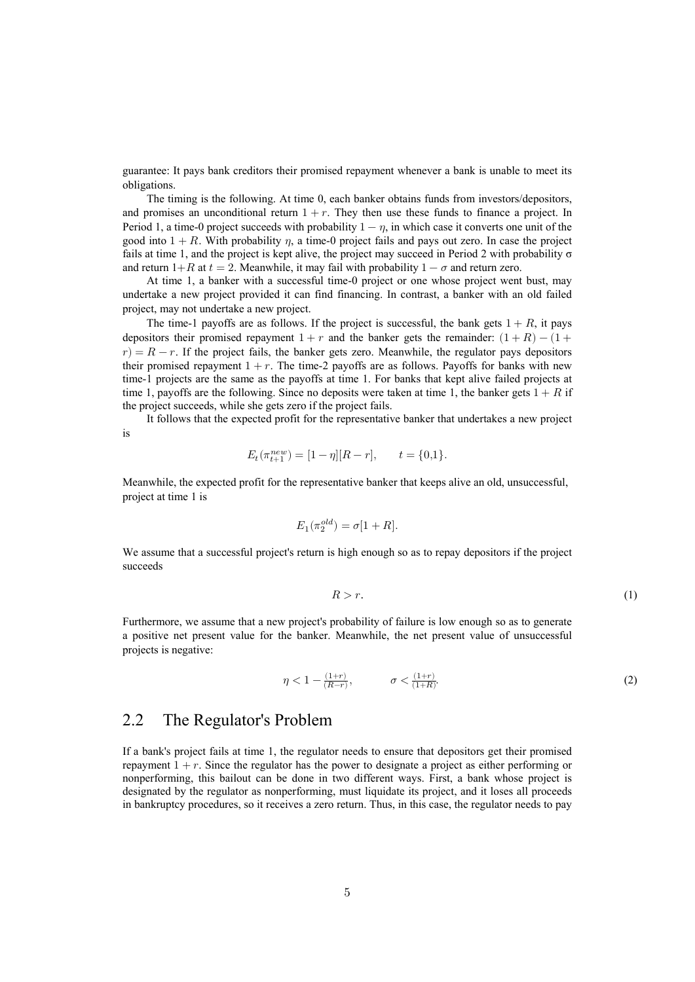guarantee: It pays bank creditors their promised repayment whenever a bank is unable to meet its obligations.

The timing is the following. At time 0, each banker obtains funds from investors/depositors, and promises an unconditional return  $1+r$ . They then use these funds to finance a project. In Period 1, a time-0 project succeeds with probability  $1-\eta$ , in which case it converts one unit of the good into  $1 + R$ . With probability  $\eta$ , a time-0 project fails and pays out zero. In case the project fails at time 1, and the project is kept alive, the project may succeed in Period 2 with probability  $\sigma$ and return 1+R at  $t = 2$ . Meanwhile, it may fail with probability  $1 - \sigma$  and return zero.

At time 1, a banker with a successful time-0 project or one whose project went bust, may undertake a new project provided it can find financing. In contrast, a banker with an old failed project, may not undertake a new project.

The time-1 payoffs are as follows. If the project is successful, the bank gets  $1+R$ , it pays depositors their promised repayment  $1+r$  and the banker gets the remainder:  $(1+R) - (1+$  $r$ ) =  $R - r$ . If the project fails, the banker gets zero. Meanwhile, the regulator pays depositors their promised repayment  $1+r$ . The time-2 payoffs are as follows. Payoffs for banks with new time-1 projects are the same as the payoffs at time 1. For banks that kept alive failed projects at time 1, payoffs are the following. Since no deposits were taken at time 1, the banker gets  $1+R$  if the project succeeds, while she gets zero if the project fails.

It follows that the expected profit for the representative banker that undertakes a new project is

$$
E_t(\pi^{new}_{t+1}) = [1-\eta][R-r], \qquad t = \{0,1\}.
$$

Meanwhile, the expected profit for the representative banker that keeps alive an old, unsuccessful, project at time 1 is

$$
E_1(\pi_2^{old})=\sigma[1+R].
$$

We assume that a successful project's return is high enough so as to repay depositors if the project succeeds

$$
R > r.\tag{1}
$$

Furthermore, we assume that a new project's probability of failure is low enough so as to generate a positive net present value for the banker. Meanwhile, the net present value of unsuccessful projects is negative:

$$
\eta < 1 - \frac{(1+r)}{(R-r)}, \qquad \sigma < \frac{(1+r)}{(1+R)}.\tag{2}
$$

#### 2.2 The Regulator's Problem

If a bank's project fails at time 1, the regulator needs to ensure that depositors get their promised repayment  $1+r$ . Since the regulator has the power to designate a project as either performing or nonperforming, this bailout can be done in two different ways. First, a bank whose project is designated by the regulator as nonperforming, must liquidate its project, and it loses all proceeds in bankruptcy procedures, so it receives a zero return. Thus, in this case, the regulator needs to pay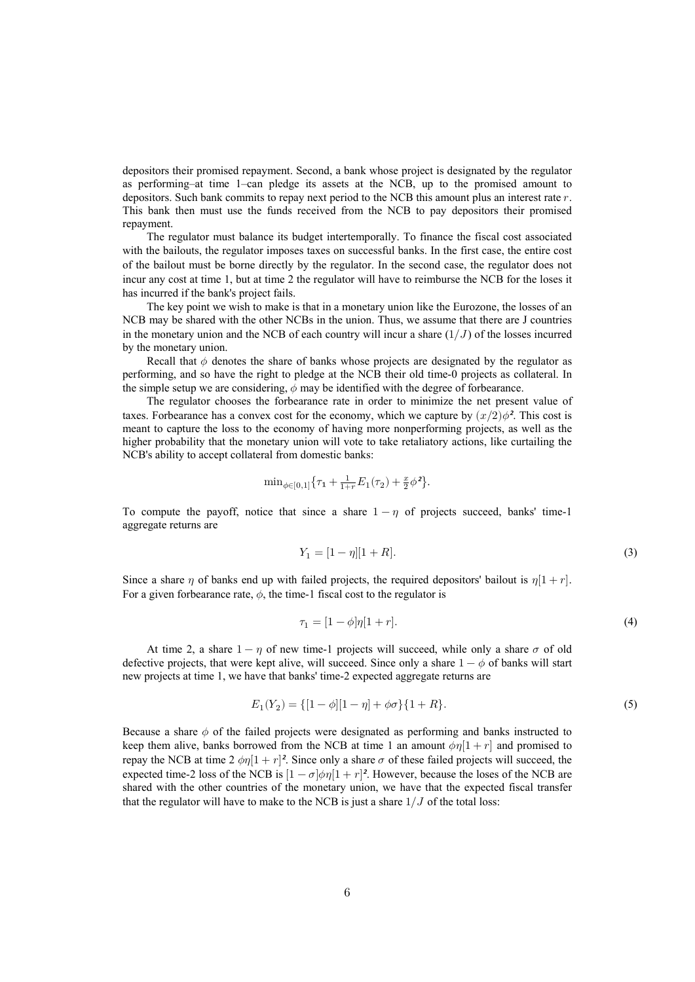depositors their promised repayment. Second, a bank whose project is designated by the regulator as performing–at time 1–can pledge its assets at the NCB, up to the promised amount to depositors. Such bank commits to repay next period to the NCB this amount plus an interest rate  $r$ . This bank then must use the funds received from the NCB to pay depositors their promised repayment.

The regulator must balance its budget intertemporally. To finance the fiscal cost associated with the bailouts, the regulator imposes taxes on successful banks. In the first case, the entire cost of the bailout must be borne directly by the regulator. In the second case, the regulator does not incur any cost at time 1, but at time 2 the regulator will have to reimburse the NCB for the loses it has incurred if the bank's project fails.

The key point we wish to make is that in a monetary union like the Eurozone, the losses of an NCB may be shared with the other NCBs in the union. Thus, we assume that there are J countries in the monetary union and the NCB of each country will incur a share  $(1/J)$  of the losses incurred by the monetary union.

Recall that  $\phi$  denotes the share of banks whose projects are designated by the regulator as performing, and so have the right to pledge at the NCB their old time-0 projects as collateral. In the simple setup we are considering,  $\phi$  may be identified with the degree of forbearance.

The regulator chooses the forbearance rate in order to minimize the net present value of taxes. For bearance has a convex cost for the economy, which we capture by  $(x/2)\phi^2$ . This cost is meant to capture the loss to the economy of having more nonperforming projects, as well as the higher probability that the monetary union will vote to take retaliatory actions, like curtailing the NCB's ability to accept collateral from domestic banks:

$$
\min_{\phi \in [0,1]} \{ \tau_1 + \frac{1}{1+r} E_1(\tau_2) + \frac{x}{2} \phi^2 \}.
$$

To compute the payoff, notice that since a share  $1-\eta$  of projects succeed, banks' time-1 aggregate returns are

$$
Y_1 = [1 - \eta][1 + R]. \tag{3}
$$

Since a share  $\eta$  of banks end up with failed projects, the required depositors' bailout is  $\eta[1 + r]$ . For a given forbearance rate,  $\phi$ , the time-1 fiscal cost to the regulator is

$$
\tau_1 = [1 - \phi]\eta[1 + r].\tag{4}
$$

At time 2, a share  $1 - \eta$  of new time-1 projects will succeed, while only a share  $\sigma$  of old defective projects, that were kept alive, will succeed. Since only a share  $1-\phi$  of banks will start new projects at time 1, we have that banks' time-2 expected aggregate returns are

$$
E_1(Y_2) = \{ [1 - \phi][1 - \eta] + \phi\sigma \} \{ 1 + R \}.
$$
\n<sup>(5)</sup>

Because a share  $\phi$  of the failed projects were designated as performing and banks instructed to keep them alive, banks borrowed from the NCB at time 1 an amount  $\phi\eta[1 + r]$  and promised to repay the NCB at time 2  $\phi \eta [1 + r]^2$ . Since only a share  $\sigma$  of these failed projects will succeed, the expected time-2 loss of the NCB is  $[1 - \sigma]\phi\eta[1 + r]^2$ . However, because the loses of the NCB are shared with the other countries of the monetary union, we have that the expected fiscal transfer that the regulator will have to make to the NCB is just a share  $1/J$  of the total loss: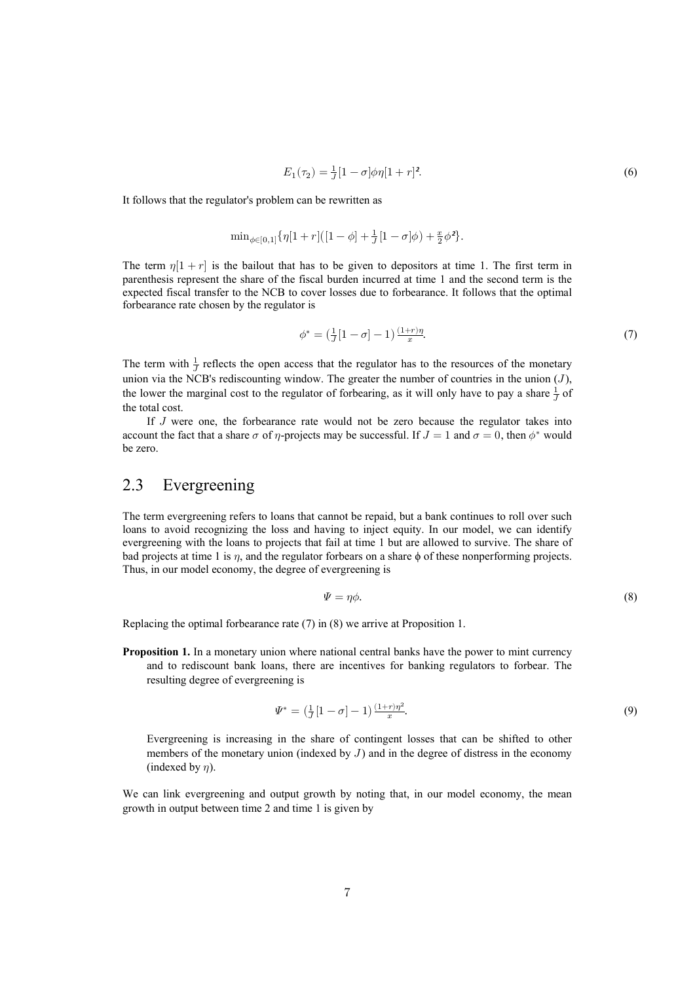$$
E_1(\tau_2) = \frac{1}{J} [1 - \sigma] \phi \eta [1 + r]^2.
$$
 (6)

It follows that the regulator's problem can be rewritten as

$$
\mathrm{min}_{\phi \in [0,1]}\{\eta[1+r] \big([1-\phi]+\tfrac{1}{J}[1-\sigma]\phi\big)+\tfrac{x}{2}\phi^2\}.
$$

The term  $\eta[1 + r]$  is the bailout that has to be given to depositors at time 1. The first term in parenthesis represent the share of the fiscal burden incurred at time 1 and the second term is the expected fiscal transfer to the NCB to cover losses due to forbearance. It follows that the optimal forbearance rate chosen by the regulator is

$$
\phi^* = \left(\frac{1}{J}[1-\sigma]-1\right)\frac{(1+r)\eta}{x}.\tag{7}
$$

The term with  $\frac{1}{J}$  reflects the open access that the regulator has to the resources of the monetary union via the NCB's rediscounting window. The greater the number of countries in the union  $(J)$ , the lower the marginal cost to the regulator of forbearing, as it will only have to pay a share  $\frac{1}{J}$  of the total cost.

If  $J$  were one, the forbearance rate would not be zero because the regulator takes into account the fact that a share  $\sigma$  of  $\eta$ -projects may be successful. If  $J = 1$  and  $\sigma = 0$ , then  $\phi^*$  would be zero.

#### 2.3 Evergreening

The term evergreening refers to loans that cannot be repaid, but a bank continues to roll over such loans to avoid recognizing the loss and having to inject equity. In our model, we can identify evergreening with the loans to projects that fail at time 1 but are allowed to survive. The share of bad projects at time 1 is  $\eta$ , and the regulator forbears on a share  $\phi$  of these nonperforming projects. Thus, in our model economy, the degree of evergreening is

$$
\Psi = \eta \phi. \tag{8}
$$

Replacing the optimal forbearance rate (7) in (8) we arrive at Proposition 1.

**Proposition 1.** In a monetary union where national central banks have the power to mint currency and to rediscount bank loans, there are incentives for banking regulators to forbear. The resulting degree of evergreening is

$$
\Psi^* = \left(\frac{1}{J}[1-\sigma] - 1\right) \frac{(1+r)\eta^2}{x}.\tag{9}
$$

Evergreening is increasing in the share of contingent losses that can be shifted to other members of the monetary union (indexed by  $J$ ) and in the degree of distress in the economy (indexed by  $\eta$ ).

We can link evergreening and output growth by noting that, in our model economy, the mean growth in output between time 2 and time 1 is given by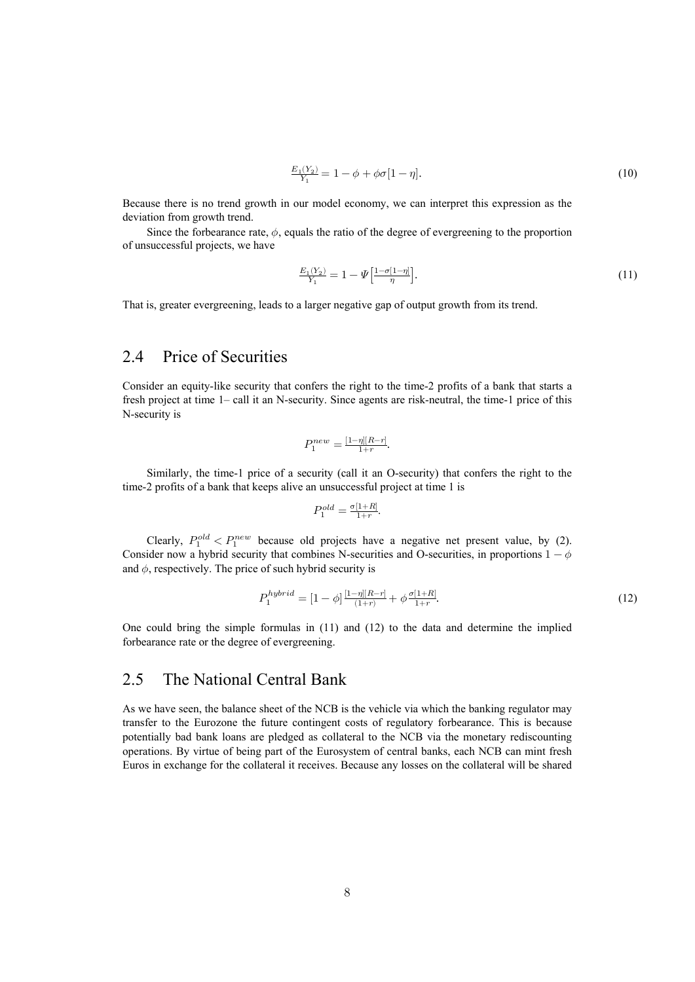$$
\frac{E_1(Y_2)}{Y_1} = 1 - \phi + \phi \sigma [1 - \eta]. \tag{10}
$$

Because there is no trend growth in our model economy, we can interpret this expression as the deviation from growth trend.

Since the forbearance rate,  $\phi$ , equals the ratio of the degree of evergreening to the proportion of unsuccessful projects, we have

$$
\frac{E_1(Y_2)}{Y_1} = 1 - \Psi \left[ \frac{1 - \sigma [1 - \eta]}{\eta} \right].
$$
\n(11)

That is, greater evergreening, leads to a larger negative gap of output growth from its trend.

#### 2.4 Price of Securities

Consider an equity-like security that confers the right to the time-2 profits of a bank that starts a fresh project at time 1– call it an N-security. Since agents are risk-neutral, the time-1 price of this N-security is

$$
P_1^{new} = \frac{[1-\eta][R-r]}{1+r}.
$$

Similarly, the time-1 price of a security (call it an O-security) that confers the right to the time-2 profits of a bank that keeps alive an unsuccessful project at time 1 is

$$
P_1^{old} = \frac{\sigma[1+R]}{1+r}.
$$

Clearly,  $P_1^{old} < P_1^{new}$  because old projects have a negative net present value, by (2). Consider now a hybrid security that combines N-securities and O-securities, in proportions  $1-\phi$ and  $\phi$ , respectively. The price of such hybrid security is

$$
P_1^{hybrid} = [1 - \phi] \frac{[1 - \eta][R - r]}{(1 + r)} + \phi \frac{\sigma[1 + R]}{1 + r}.
$$
\n(12)

One could bring the simple formulas in (11) and (12) to the data and determine the implied forbearance rate or the degree of evergreening.

#### 2.5 The National Central Bank

As we have seen, the balance sheet of the NCB is the vehicle via which the banking regulator may transfer to the Eurozone the future contingent costs of regulatory forbearance. This is because potentially bad bank loans are pledged as collateral to the NCB via the monetary rediscounting operations. By virtue of being part of the Eurosystem of central banks, each NCB can mint fresh Euros in exchange for the collateral it receives. Because any losses on the collateral will be shared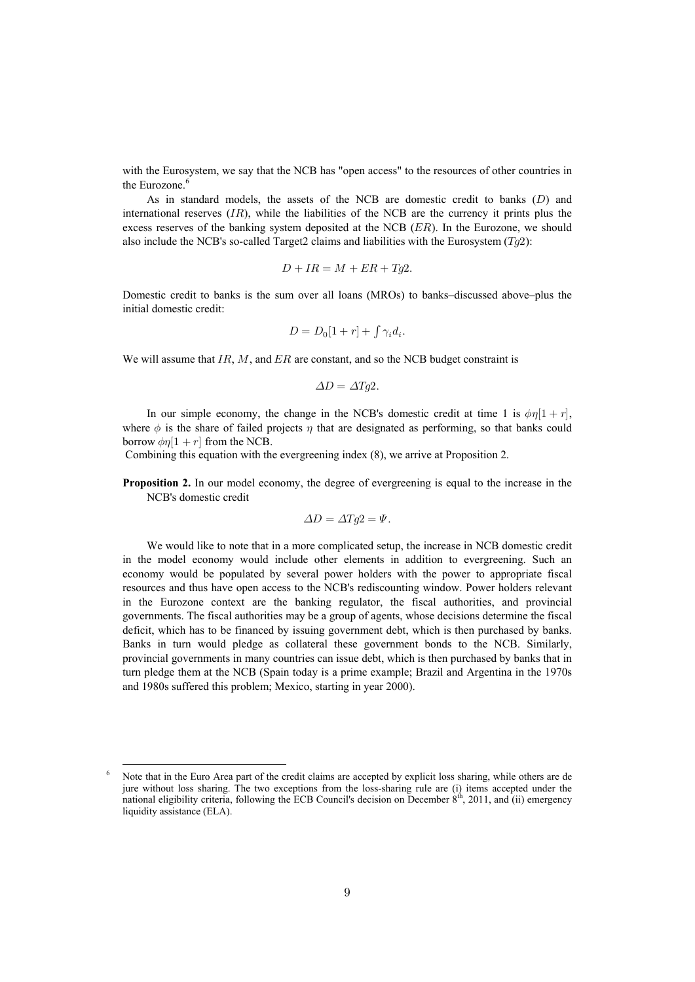with the Eurosystem, we say that the NCB has "open access" to the resources of other countries in the Eurozone.<sup>6</sup>

As in standard models, the assets of the NCB are domestic credit to banks  $(D)$  and international reserves  $(IR)$ , while the liabilities of the NCB are the currency it prints plus the excess reserves of the banking system deposited at the NCB  $(ER)$ . In the Eurozone, we should also include the NCB's so-called Target2 claims and liabilities with the Eurosystem  $(Tq2)$ :

$$
D + IR = M + ER + Tg2.
$$

Domestic credit to banks is the sum over all loans (MROs) to banks–discussed above–plus the initial domestic credit:

$$
D = D_0[1+r] + \int \gamma_i d_i.
$$

We will assume that  $IR, M$ , and  $ER$  are constant, and so the NCB budget constraint is

$$
\Delta D = \Delta T g 2.
$$

In our simple economy, the change in the NCB's domestic credit at time 1 is  $\phi\eta[1 + r]$ , where  $\phi$  is the share of failed projects  $\eta$  that are designated as performing, so that banks could borrow  $\phi n[1 + r]$  from the NCB.

Combining this equation with the evergreening index (8), we arrive at Proposition 2.

**Proposition 2.** In our model economy, the degree of evergreening is equal to the increase in the NCB's domestic credit

$$
\Delta D = \Delta T g 2 = \Psi.
$$

We would like to note that in a more complicated setup, the increase in NCB domestic credit in the model economy would include other elements in addition to evergreening. Such an economy would be populated by several power holders with the power to appropriate fiscal resources and thus have open access to the NCB's rediscounting window. Power holders relevant in the Eurozone context are the banking regulator, the fiscal authorities, and provincial governments. The fiscal authorities may be a group of agents, whose decisions determine the fiscal deficit, which has to be financed by issuing government debt, which is then purchased by banks. Banks in turn would pledge as collateral these government bonds to the NCB. Similarly, provincial governments in many countries can issue debt, which is then purchased by banks that in turn pledge them at the NCB (Spain today is a prime example; Brazil and Argentina in the 1970s and 1980s suffered this problem; Mexico, starting in year 2000).

<sup>&</sup>lt;sup>6</sup> Note that in the Euro Area part of the credit claims are accepted by explicit loss sharing, while others are de jure without loss sharing. The two exceptions from the loss-sharing rule are (i) items accepted under the national eligibility criteria, following the ECB Council's decision on December  $8<sup>th</sup>$ , 2011, and (ii) emergency liquidity assistance (ELA).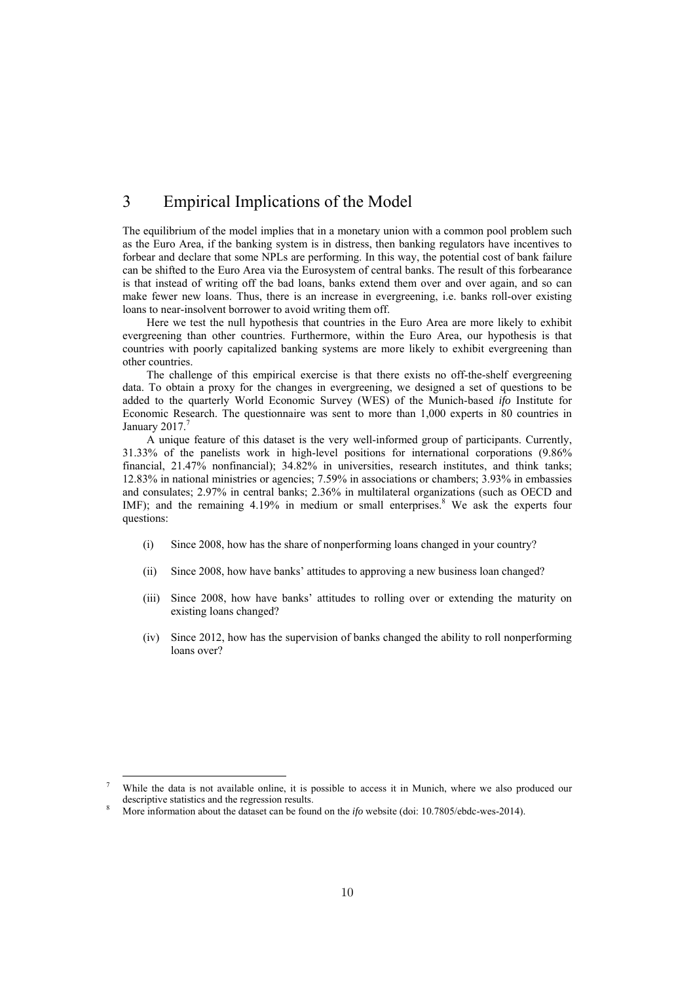#### 3 Empirical Implications of the Model

The equilibrium of the model implies that in a monetary union with a common pool problem such as the Euro Area, if the banking system is in distress, then banking regulators have incentives to forbear and declare that some NPLs are performing. In this way, the potential cost of bank failure can be shifted to the Euro Area via the Eurosystem of central banks. The result of this forbearance is that instead of writing off the bad loans, banks extend them over and over again, and so can make fewer new loans. Thus, there is an increase in evergreening, i.e. banks roll-over existing loans to near-insolvent borrower to avoid writing them off.

Here we test the null hypothesis that countries in the Euro Area are more likely to exhibit evergreening than other countries. Furthermore, within the Euro Area, our hypothesis is that countries with poorly capitalized banking systems are more likely to exhibit evergreening than other countries.

The challenge of this empirical exercise is that there exists no off-the-shelf evergreening data. To obtain a proxy for the changes in evergreening, we designed a set of questions to be added to the quarterly World Economic Survey (WES) of the Munich-based *ifo* Institute for Economic Research. The questionnaire was sent to more than 1,000 experts in 80 countries in January 2017.<sup>7</sup>

A unique feature of this dataset is the very well-informed group of participants. Currently, 31.33% of the panelists work in high-level positions for international corporations (9.86% financial, 21.47% nonfinancial); 34.82% in universities, research institutes, and think tanks; 12.83% in national ministries or agencies; 7.59% in associations or chambers; 3.93% in embassies and consulates; 2.97% in central banks; 2.36% in multilateral organizations (such as OECD and IMF); and the remaining  $4.19\%$  in medium or small enterprises.<sup>8</sup> We ask the experts four questions:

- (i) Since 2008, how has the share of nonperforming loans changed in your country?
- (ii) Since 2008, how have banks' attitudes to approving a new business loan changed?
- (iii) Since 2008, how have banks' attitudes to rolling over or extending the maturity on existing loans changed?
- (iv) Since 2012, how has the supervision of banks changed the ability to roll nonperforming loans over?

<sup>&</sup>lt;sup>7</sup> While the data is not available online, it is possible to access it in Munich, where we also produced our descriptive statistics and the regression results.

More information about the dataset can be found on the *ifo* website (doi: 10.7805/ebdc-wes-2014).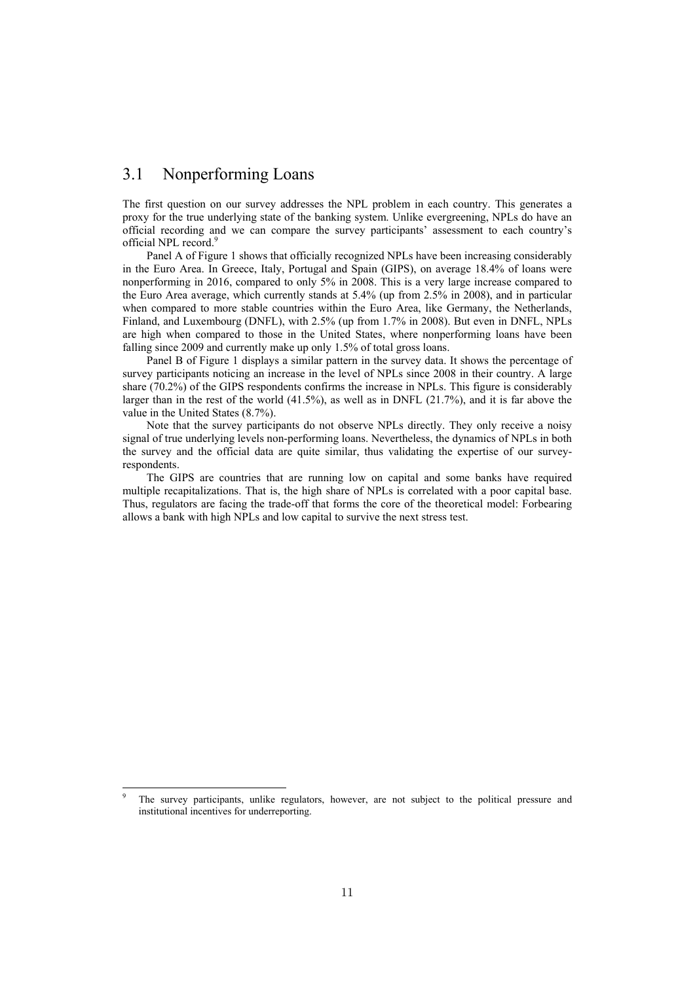#### 3.1 Nonperforming Loans

The first question on our survey addresses the NPL problem in each country. This generates a proxy for the true underlying state of the banking system. Unlike evergreening, NPLs do have an official recording and we can compare the survey participants' assessment to each country's official NPL record.<sup>9</sup>

Panel A of Figure 1 shows that officially recognized NPLs have been increasing considerably in the Euro Area. In Greece, Italy, Portugal and Spain (GIPS), on average 18.4% of loans were nonperforming in 2016, compared to only 5% in 2008. This is a very large increase compared to the Euro Area average, which currently stands at 5.4% (up from 2.5% in 2008), and in particular when compared to more stable countries within the Euro Area, like Germany, the Netherlands, Finland, and Luxembourg (DNFL), with 2.5% (up from 1.7% in 2008). But even in DNFL, NPLs are high when compared to those in the United States, where nonperforming loans have been falling since 2009 and currently make up only 1.5% of total gross loans.

Panel B of Figure 1 displays a similar pattern in the survey data. It shows the percentage of survey participants noticing an increase in the level of NPLs since 2008 in their country. A large share (70.2%) of the GIPS respondents confirms the increase in NPLs. This figure is considerably larger than in the rest of the world (41.5%), as well as in DNFL (21.7%), and it is far above the value in the United States (8.7%).

Note that the survey participants do not observe NPLs directly. They only receive a noisy signal of true underlying levels non-performing loans. Nevertheless, the dynamics of NPLs in both the survey and the official data are quite similar, thus validating the expertise of our surveyrespondents.

The GIPS are countries that are running low on capital and some banks have required multiple recapitalizations. That is, the high share of NPLs is correlated with a poor capital base. Thus, regulators are facing the trade-off that forms the core of the theoretical model: Forbearing allows a bank with high NPLs and low capital to survive the next stress test.

<sup>9</sup> The survey participants, unlike regulators, however, are not subject to the political pressure and institutional incentives for underreporting.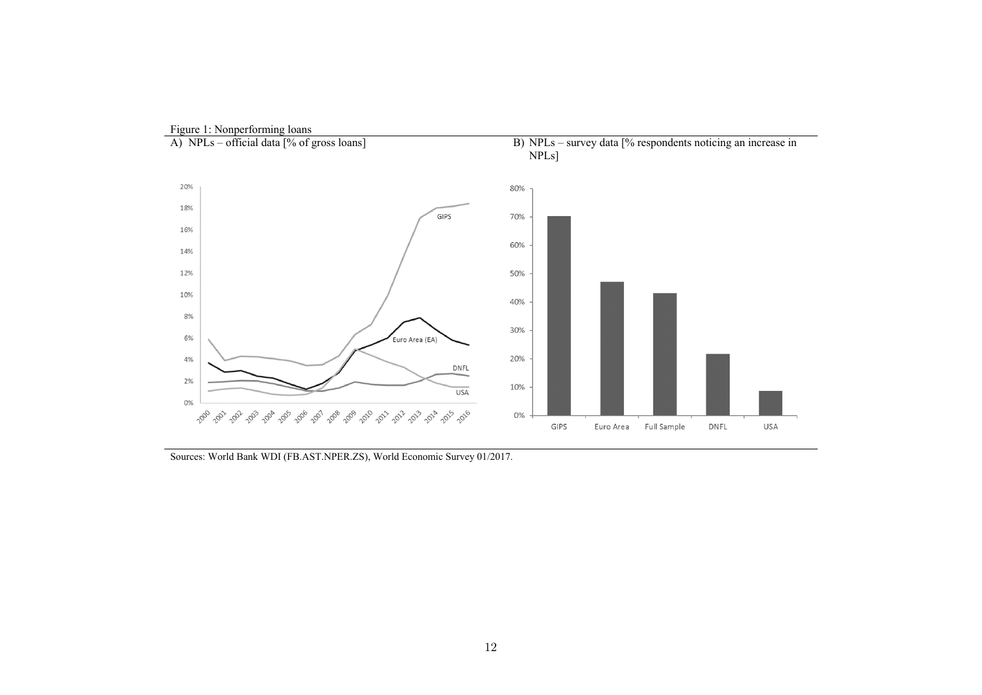

Sources: World Bank WDI (FB.AST.NPER.ZS), World Economic Survey 01/2017.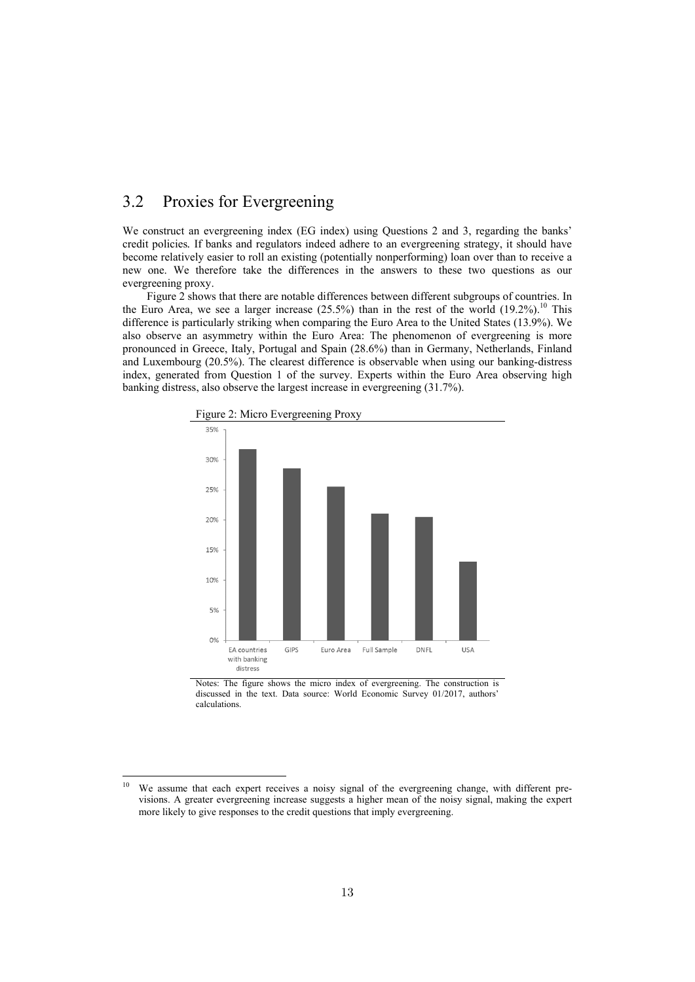#### 3.2 Proxies for Evergreening

We construct an evergreening index (EG index) using Questions 2 and 3, regarding the banks' credit policies*.* If banks and regulators indeed adhere to an evergreening strategy, it should have become relatively easier to roll an existing (potentially nonperforming) loan over than to receive a new one. We therefore take the differences in the answers to these two questions as our evergreening proxy.

Figure 2 shows that there are notable differences between different subgroups of countries. In the Euro Area, we see a larger increase  $(25.5%)$  than in the rest of the world  $(19.2%)$ .<sup>10</sup> This difference is particularly striking when comparing the Euro Area to the United States (13.9%). We also observe an asymmetry within the Euro Area: The phenomenon of evergreening is more pronounced in Greece, Italy, Portugal and Spain (28.6%) than in Germany, Netherlands, Finland and Luxembourg (20.5%). The clearest difference is observable when using our banking-distress index, generated from Question 1 of the survey. Experts within the Euro Area observing high banking distress, also observe the largest increase in evergreening (31.7%).





Notes: The figure shows the micro index of evergreening. The construction is discussed in the text. Data source: World Economic Survey 01/2017, authors' calculations.

<sup>&</sup>lt;sup>10</sup> We assume that each expert receives a noisy signal of the evergreening change, with different previsions. A greater evergreening increase suggests a higher mean of the noisy signal, making the expert more likely to give responses to the credit questions that imply evergreening.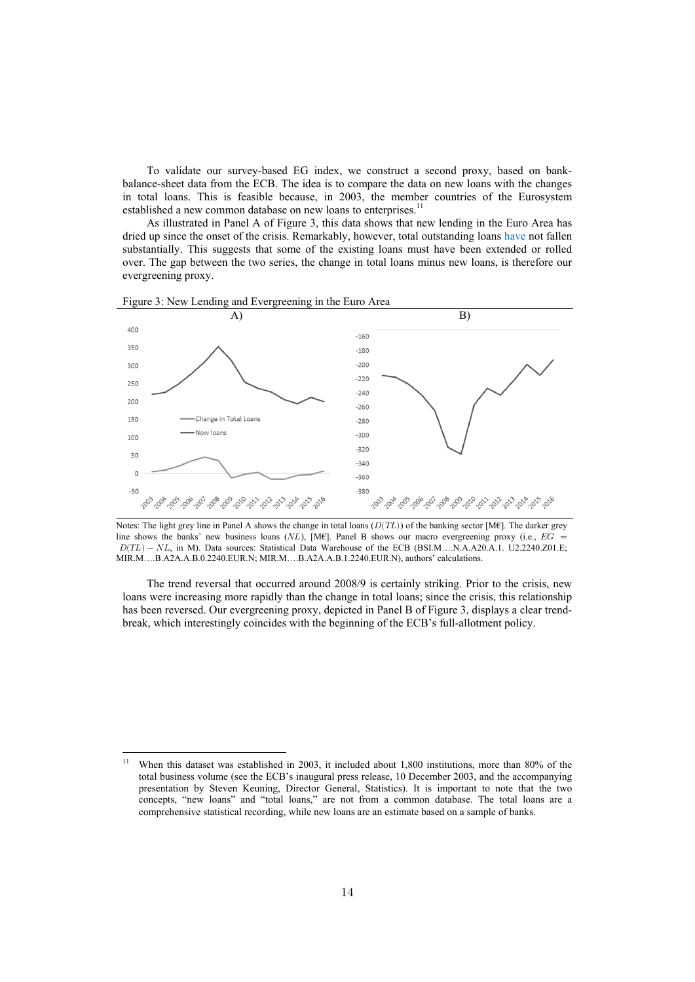To validate our survey-based EG index, we construct a second proxy, based on bankbalance-sheet data from the ECB. The idea is to compare the data on new loans with the changes in total loans. This is feasible because, in 2003, the member countries of the Eurosystem established a new common database on new loans to enterprises.<sup>11</sup>

As illustrated in Panel A of Figure 3, this data shows that new lending in the Euro Area has dried up since the onset of the crisis. Remarkably, however, total outstanding loans have not fallen substantially. This suggests that some of the existing loans must have been extended or rolled over. The gap between the two series, the change in total loans minus new loans, is therefore our evergreening proxy.



Figure 3: New Lending and Evergreening in the Euro Area



The trend reversal that occurred around 2008/9 is certainly striking. Prior to the crisis, new loans were increasing more rapidly than the change in total loans; since the crisis, this relationship has been reversed. Our evergreening proxy, depicted in Panel B of Figure 3, displays a clear trendbreak, which interestingly coincides with the beginning of the ECB's full-allotment policy.

<sup>&</sup>lt;sup>11</sup> When this dataset was established in 2003, it included about 1,800 institutions, more than 80% of the total business volume (see the ECB's inaugural press release, 10 December 2003, and the accompanying presentation by Steven Keuning, Director General, Statistics). It is important to note that the two concepts, "new loans" and "total loans," are not from a common database. The total loans are a comprehensive statistical recording, while new loans are an estimate based on a sample of banks.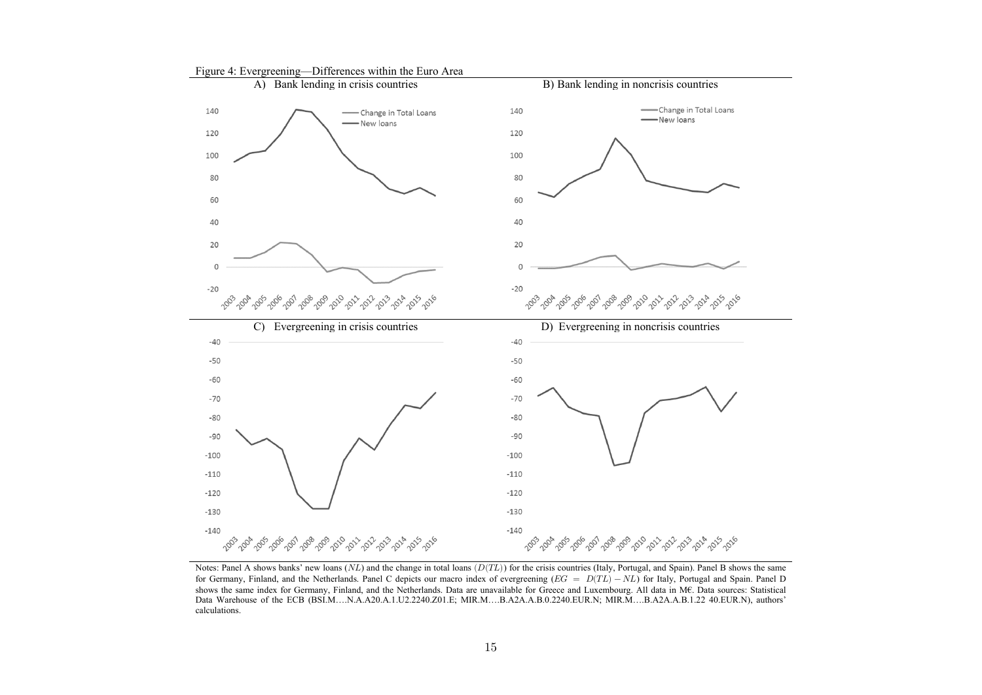

Notes: Panel A shows banks' new loans  $(NL)$  and the change in total loans  $(D(TL))$  for the crisis countries (Italy, Portugal, and Spain). Panel B shows the same for Germany, Finland, and the Netherlands. Panel C depicts our macro index of evergreening  $(EG = D(TL) - NL)$  for Italy, Portugal and Spain. Panel D shows the same index for Germany, Finland, and the Netherlands. Data are unavailable for Greece and Luxembourg. All data in M€. Data sources: Statistical Data Warehouse of the ECB (BSI.M….N.A.A20.A.1.U2.2240.Z01.E; MIR.M….B.A2A.A.B.0.2240.EUR.N; MIR.M….B.A2A.A.B.1.22 40.EUR.N), authors' calculations.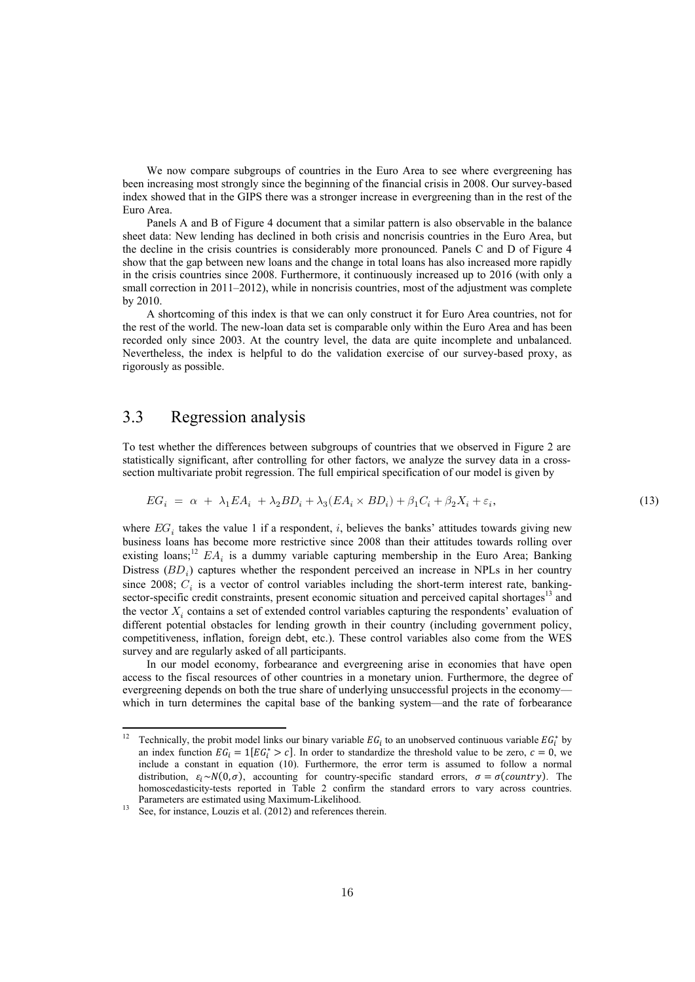We now compare subgroups of countries in the Euro Area to see where evergreening has been increasing most strongly since the beginning of the financial crisis in 2008. Our survey-based index showed that in the GIPS there was a stronger increase in evergreening than in the rest of the Euro Area.

Panels A and B of Figure 4 document that a similar pattern is also observable in the balance sheet data: New lending has declined in both crisis and noncrisis countries in the Euro Area, but the decline in the crisis countries is considerably more pronounced. Panels C and D of Figure 4 show that the gap between new loans and the change in total loans has also increased more rapidly in the crisis countries since 2008. Furthermore, it continuously increased up to 2016 (with only a small correction in 2011–2012), while in noncrisis countries, most of the adjustment was complete by 2010.

A shortcoming of this index is that we can only construct it for Euro Area countries, not for the rest of the world. The new-loan data set is comparable only within the Euro Area and has been recorded only since 2003. At the country level, the data are quite incomplete and unbalanced. Nevertheless, the index is helpful to do the validation exercise of our survey-based proxy, as rigorously as possible.

#### 3.3 Regression analysis

To test whether the differences between subgroups of countries that we observed in Figure 2 are statistically significant, after controlling for other factors, we analyze the survey data in a crosssection multivariate probit regression. The full empirical specification of our model is given by

$$
EG_i = \alpha + \lambda_1 EA_i + \lambda_2 BD_i + \lambda_3 (EA_i \times BD_i) + \beta_1 C_i + \beta_2 X_i + \varepsilon_i,
$$
\n(13)

where  $EG_i$  takes the value 1 if a respondent, i, believes the banks' attitudes towards giving new business loans has become more restrictive since 2008 than their attitudes towards rolling over existing loans;<sup>12</sup>  $EA_i$  is a dummy variable capturing membership in the Euro Area; Banking Distress  $(BD<sub>i</sub>)$  captures whether the respondent perceived an increase in NPLs in her country since 2008;  $C_i$  is a vector of control variables including the short-term interest rate, bankingsector-specific credit constraints, present economic situation and perceived capital shortages $13$  and the vector  $X_i$  contains a set of extended control variables capturing the respondents' evaluation of different potential obstacles for lending growth in their country (including government policy, competitiveness, inflation, foreign debt, etc.). These control variables also come from the WES survey and are regularly asked of all participants.

In our model economy, forbearance and evergreening arise in economies that have open access to the fiscal resources of other countries in a monetary union. Furthermore, the degree of evergreening depends on both the true share of underlying unsuccessful projects in the economy which in turn determines the capital base of the banking system—and the rate of forbearance

<sup>&</sup>lt;sup>12</sup> Technically, the probit model links our binary variable  $EG_i$  to an unobserved continuous variable  $EG_i^*$  by an index function  $EG_i = 1[EG_i^* > c]$ . In order to standardize the threshold value to be zero,  $c = 0$ , we include a constant in equation (10). Furthermore, the error term is assumed to follow a normal distribution,  $\varepsilon_i \sim N(0, \sigma)$ , accounting for country-specific standard errors,  $\sigma = \sigma$ (country). The homoscedasticity-tests reported in Table 2 confirm the standard errors to vary across countries.

Parameters are estimated using Maximum-Likelihood.<br><sup>13</sup> See, for instance, Louzis et al. (2012) and references therein.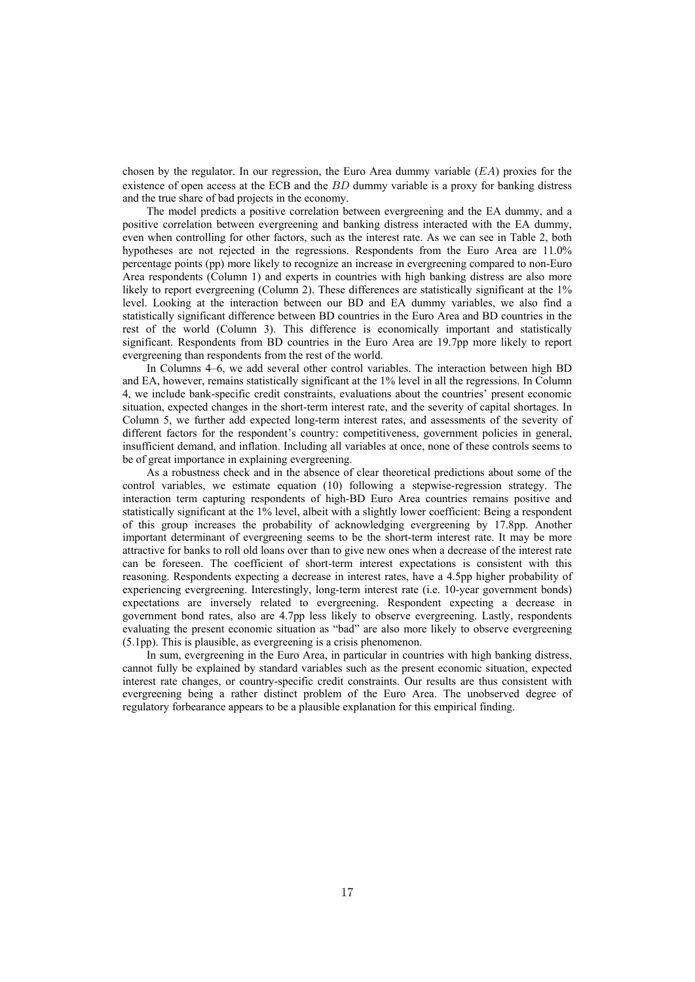chosen by the regulator. In our regression, the Euro Area dummy variable  $(EA)$  proxies for the existence of open access at the ECB and the  $BD$  dummy variable is a proxy for banking distress and the true share of bad projects in the economy.

The model predicts a positive correlation between evergreening and the EA dummy, and a positive correlation between evergreening and banking distress interacted with the EA dummy, even when controlling for other factors, such as the interest rate. As we can see in Table 2, both hypotheses are not rejected in the regressions. Respondents from the Euro Area are 11.0% percentage points (pp) more likely to recognize an increase in evergreening compared to non-Euro Area respondents (Column 1) and experts in countries with high banking distress are also more likely to report evergreening (Column 2). These differences are statistically significant at the 1% level. Looking at the interaction between our BD and EA dummy variables, we also find a statistically significant difference between BD countries in the Euro Area and BD countries in the rest of the world (Column 3). This difference is economically important and statistically significant. Respondents from BD countries in the Euro Area are 19.7pp more likely to report evergreening than respondents from the rest of the world.

In Columns 4–6, we add several other control variables. The interaction between high BD and EA, however, remains statistically significant at the 1% level in all the regressions. In Column 4, we include bank-specific credit constraints, evaluations about the countries' present economic situation, expected changes in the short-term interest rate, and the severity of capital shortages. In Column 5, we further add expected long-term interest rates, and assessments of the severity of different factors for the respondent's country: competitiveness, government policies in general, insufficient demand, and inflation. Including all variables at once, none of these controls seems to be of great importance in explaining evergreening.

As a robustness check and in the absence of clear theoretical predictions about some of the control variables, we estimate equation (10) following a stepwise-regression strategy. The interaction term capturing respondents of high-BD Euro Area countries remains positive and statistically significant at the 1% level, albeit with a slightly lower coefficient: Being a respondent of this group increases the probability of acknowledging evergreening by 17.8pp. Another important determinant of evergreening seems to be the short-term interest rate. It may be more attractive for banks to roll old loans over than to give new ones when a decrease of the interest rate can be foreseen. The coefficient of short-term interest expectations is consistent with this reasoning. Respondents expecting a decrease in interest rates, have a 4.5pp higher probability of experiencing evergreening. Interestingly, long-term interest rate (i.e. 10-year government bonds) expectations are inversely related to evergreening. Respondent expecting a decrease in government bond rates, also are 4.7pp less likely to observe evergreening. Lastly, respondents evaluating the present economic situation as "bad" are also more likely to observe evergreening (5.1pp). This is plausible, as evergreening is a crisis phenomenon.

In sum, evergreening in the Euro Area, in particular in countries with high banking distress, cannot fully be explained by standard variables such as the present economic situation, expected interest rate changes, or country-specific credit constraints. Our results are thus consistent with evergreening being a rather distinct problem of the Euro Area. The unobserved degree of regulatory forbearance appears to be a plausible explanation for this empirical finding.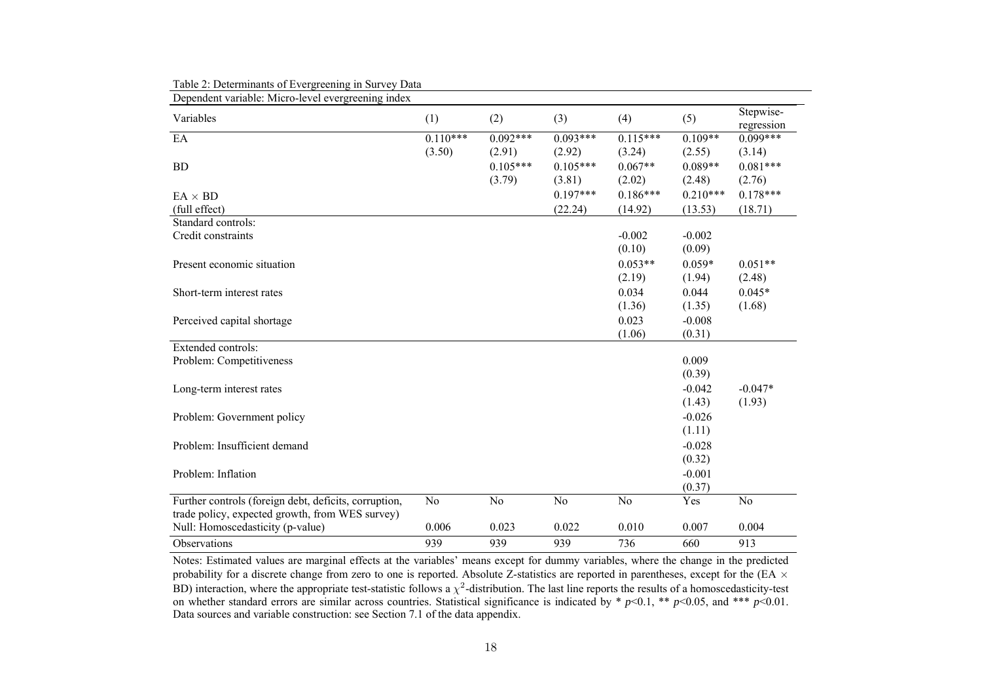| Dependent variable: Micro-level evergreening index    |            |            |            |            |            |                         |
|-------------------------------------------------------|------------|------------|------------|------------|------------|-------------------------|
| Variables                                             | (1)        | (2)        | (3)        | (4)        | (5)        | Stepwise-<br>regression |
| EA                                                    | $0.110***$ | $0.092***$ | $0.093***$ | $0.115***$ | $0.109**$  | $0.099***$              |
|                                                       | (3.50)     | (2.91)     | (2.92)     | (3.24)     | (2.55)     | (3.14)                  |
| <b>BD</b>                                             |            | $0.105***$ | $0.105***$ | $0.067**$  | $0.089**$  | $0.081***$              |
|                                                       |            | (3.79)     | (3.81)     | (2.02)     | (2.48)     | (2.76)                  |
| $EA \times BD$                                        |            |            | $0.197***$ | $0.186***$ | $0.210***$ | $0.178***$              |
| (full effect)                                         |            |            | (22.24)    | (14.92)    | (13.53)    | (18.71)                 |
| Standard controls:                                    |            |            |            |            |            |                         |
| Credit constraints                                    |            |            |            | $-0.002$   | $-0.002$   |                         |
|                                                       |            |            |            | (0.10)     | (0.09)     |                         |
| Present economic situation                            |            |            |            | $0.053**$  | $0.059*$   | $0.051**$               |
|                                                       |            |            |            | (2.19)     | (1.94)     | (2.48)                  |
| Short-term interest rates                             |            |            |            | 0.034      | 0.044      | $0.045*$                |
|                                                       |            |            |            | (1.36)     | (1.35)     | (1.68)                  |
| Perceived capital shortage                            |            |            |            | 0.023      | $-0.008$   |                         |
|                                                       |            |            |            | (1.06)     | (0.31)     |                         |
| Extended controls:                                    |            |            |            |            |            |                         |
| Problem: Competitiveness                              |            |            |            |            | 0.009      |                         |
|                                                       |            |            |            |            | (0.39)     |                         |
| Long-term interest rates                              |            |            |            |            | $-0.042$   | $-0.047*$               |
|                                                       |            |            |            |            | (1.43)     | (1.93)                  |
| Problem: Government policy                            |            |            |            |            | $-0.026$   |                         |
|                                                       |            |            |            |            | (1.11)     |                         |
| Problem: Insufficient demand                          |            |            |            |            | $-0.028$   |                         |
|                                                       |            |            |            |            | (0.32)     |                         |
| Problem: Inflation                                    |            |            |            |            | $-0.001$   |                         |
|                                                       |            |            |            |            | (0.37)     |                         |
| Further controls (foreign debt, deficits, corruption, | No         | No         | No         | No         | Yes        | No                      |
| trade policy, expected growth, from WES survey)       |            |            |            |            |            |                         |
| Null: Homoscedasticity (p-value)                      | 0.006      | 0.023      | 0.022      | 0.010      | 0.007      | 0.004                   |
| <b>Observations</b>                                   | 939        | 939        | 939        | 736        | 660        | 913                     |

Table 2: Determinants of Evergreening in Survey Data

Notes: Estimated values are marginal effects at the variables' means except for dummy variables, where the change in the predicted probability for a discrete change from zero to one is reported. Absolute Z-statistics are reported in parentheses, except for the (EA  $\times$ BD) interaction, where the appropriate test-statistic follows a  $\chi^2$ -distribution. The last line reports the results of a homoscedasticity-test on whether standard errors are similar across countries. Statistical significance is indicated by \* *p*<0.1, \*\* *p*<0.05, and \*\*\* *p*<0.01. Data sources and variable construction: see Section 7.1 of the data appendix.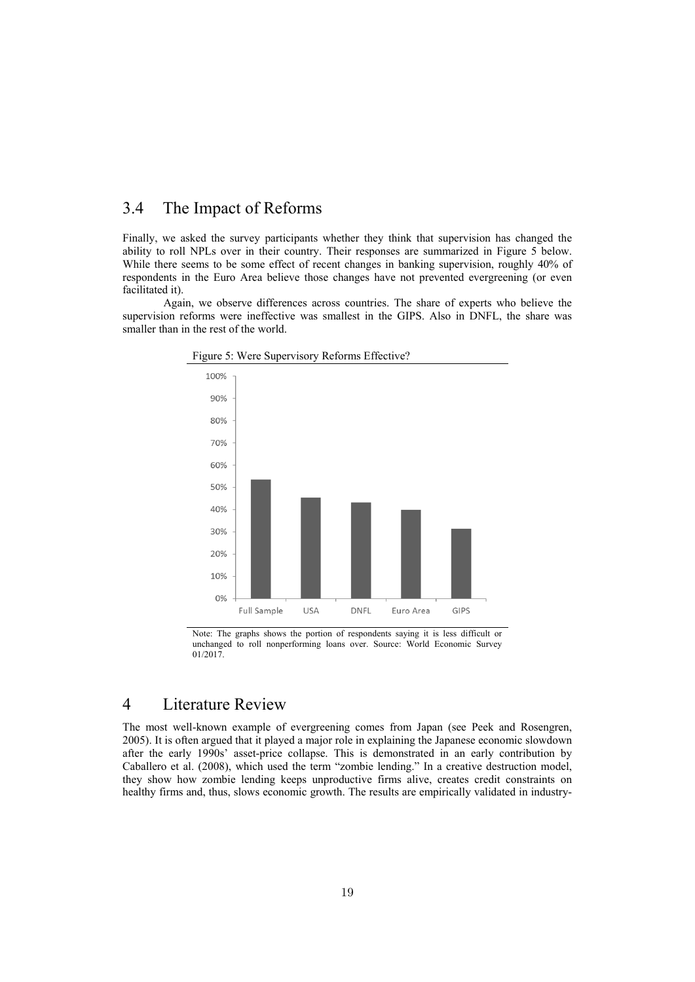#### 3.4 The Impact of Reforms

Finally, we asked the survey participants whether they think that supervision has changed the ability to roll NPLs over in their country. Their responses are summarized in Figure 5 below. While there seems to be some effect of recent changes in banking supervision, roughly 40% of respondents in the Euro Area believe those changes have not prevented evergreening (or even facilitated it).

Again, we observe differences across countries. The share of experts who believe the supervision reforms were ineffective was smallest in the GIPS. Also in DNFL, the share was smaller than in the rest of the world.



Figure 5: Were Supervisory Reforms Effective?

Note: The graphs shows the portion of respondents saying it is less difficult or unchanged to roll nonperforming loans over. Source: World Economic Survey 01/2017.

#### 4 Literature Review

The most well-known example of evergreening comes from Japan (see Peek and Rosengren, 2005). It is often argued that it played a major role in explaining the Japanese economic slowdown after the early 1990s' asset-price collapse. This is demonstrated in an early contribution by Caballero et al. (2008), which used the term "zombie lending." In a creative destruction model, they show how zombie lending keeps unproductive firms alive, creates credit constraints on healthy firms and, thus, slows economic growth. The results are empirically validated in industry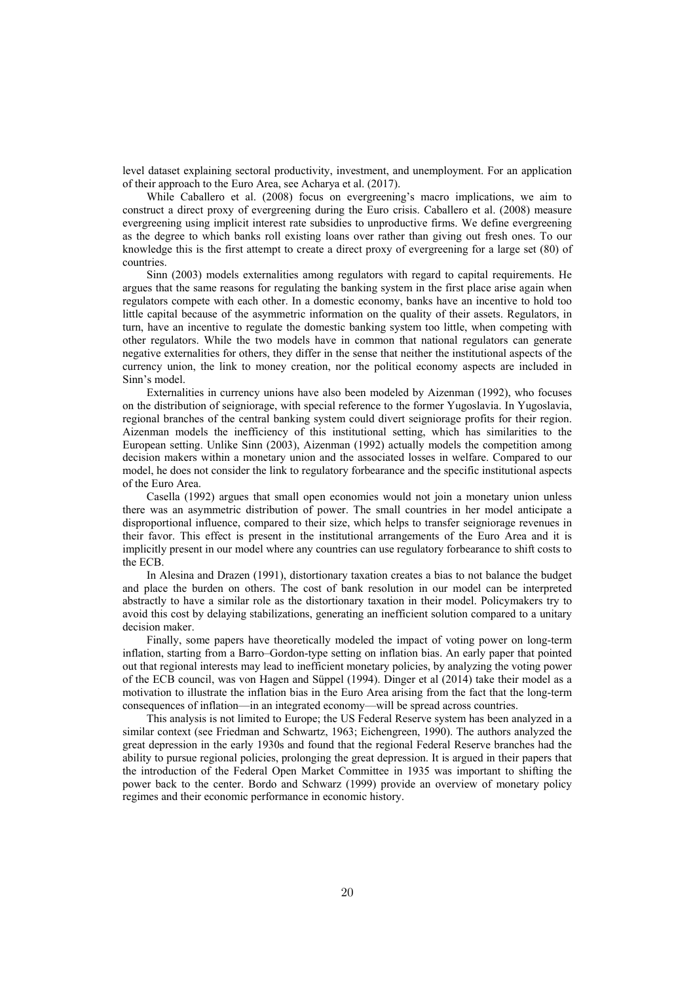level dataset explaining sectoral productivity, investment, and unemployment. For an application of their approach to the Euro Area, see Acharya et al. (2017).

While Caballero et al. (2008) focus on evergreening's macro implications, we aim to construct a direct proxy of evergreening during the Euro crisis. Caballero et al. (2008) measure evergreening using implicit interest rate subsidies to unproductive firms. We define evergreening as the degree to which banks roll existing loans over rather than giving out fresh ones. To our knowledge this is the first attempt to create a direct proxy of evergreening for a large set (80) of countries.

Sinn (2003) models externalities among regulators with regard to capital requirements. He argues that the same reasons for regulating the banking system in the first place arise again when regulators compete with each other. In a domestic economy, banks have an incentive to hold too little capital because of the asymmetric information on the quality of their assets. Regulators, in turn, have an incentive to regulate the domestic banking system too little, when competing with other regulators. While the two models have in common that national regulators can generate negative externalities for others, they differ in the sense that neither the institutional aspects of the currency union, the link to money creation, nor the political economy aspects are included in Sinn's model.

Externalities in currency unions have also been modeled by Aizenman (1992), who focuses on the distribution of seigniorage, with special reference to the former Yugoslavia. In Yugoslavia, regional branches of the central banking system could divert seigniorage profits for their region. Aizenman models the inefficiency of this institutional setting, which has similarities to the European setting. Unlike Sinn (2003), Aizenman (1992) actually models the competition among decision makers within a monetary union and the associated losses in welfare. Compared to our model, he does not consider the link to regulatory forbearance and the specific institutional aspects of the Euro Area.

Casella (1992) argues that small open economies would not join a monetary union unless there was an asymmetric distribution of power. The small countries in her model anticipate a disproportional influence, compared to their size, which helps to transfer seigniorage revenues in their favor. This effect is present in the institutional arrangements of the Euro Area and it is implicitly present in our model where any countries can use regulatory forbearance to shift costs to the ECB.

In Alesina and Drazen (1991), distortionary taxation creates a bias to not balance the budget and place the burden on others. The cost of bank resolution in our model can be interpreted abstractly to have a similar role as the distortionary taxation in their model. Policymakers try to avoid this cost by delaying stabilizations, generating an inefficient solution compared to a unitary decision maker.

Finally, some papers have theoretically modeled the impact of voting power on long-term inflation, starting from a Barro–Gordon-type setting on inflation bias. An early paper that pointed out that regional interests may lead to inefficient monetary policies, by analyzing the voting power of the ECB council, was von Hagen and Süppel (1994). Dinger et al (2014) take their model as a motivation to illustrate the inflation bias in the Euro Area arising from the fact that the long-term consequences of inflation—in an integrated economy—will be spread across countries.

This analysis is not limited to Europe; the US Federal Reserve system has been analyzed in a similar context (see Friedman and Schwartz, 1963; Eichengreen, 1990). The authors analyzed the great depression in the early 1930s and found that the regional Federal Reserve branches had the ability to pursue regional policies, prolonging the great depression. It is argued in their papers that the introduction of the Federal Open Market Committee in 1935 was important to shifting the power back to the center. Bordo and Schwarz (1999) provide an overview of monetary policy regimes and their economic performance in economic history.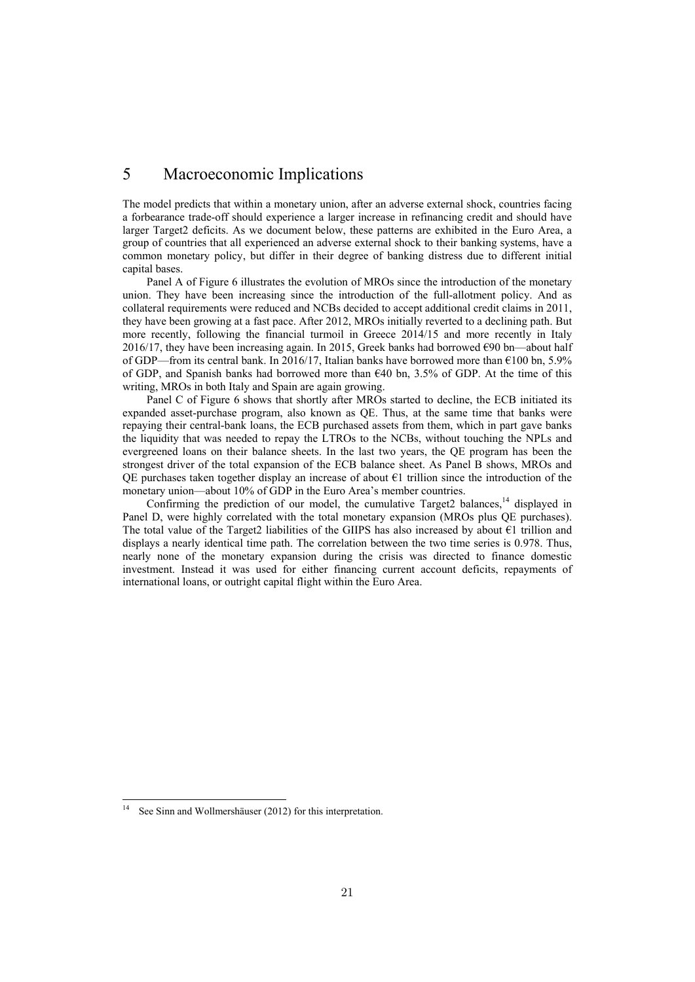#### 5 Macroeconomic Implications

The model predicts that within a monetary union, after an adverse external shock, countries facing a forbearance trade-off should experience a larger increase in refinancing credit and should have larger Target2 deficits. As we document below, these patterns are exhibited in the Euro Area, a group of countries that all experienced an adverse external shock to their banking systems, have a common monetary policy, but differ in their degree of banking distress due to different initial capital bases.

Panel A of Figure 6 illustrates the evolution of MROs since the introduction of the monetary union. They have been increasing since the introduction of the full-allotment policy. And as collateral requirements were reduced and NCBs decided to accept additional credit claims in 2011, they have been growing at a fast pace. After 2012, MROs initially reverted to a declining path. But more recently, following the financial turmoil in Greece 2014/15 and more recently in Italy 2016/17, they have been increasing again. In 2015, Greek banks had borrowed  $\epsilon$ 90 bn—about half of GDP—from its central bank. In 2016/17, Italian banks have borrowed more than  $\epsilon$ 100 bn, 5.9% of GDP, and Spanish banks had borrowed more than  $640$  bn, 3.5% of GDP. At the time of this writing, MROs in both Italy and Spain are again growing.

Panel C of Figure 6 shows that shortly after MROs started to decline, the ECB initiated its expanded asset-purchase program, also known as QE. Thus, at the same time that banks were repaying their central-bank loans, the ECB purchased assets from them, which in part gave banks the liquidity that was needed to repay the LTROs to the NCBs, without touching the NPLs and evergreened loans on their balance sheets. In the last two years, the QE program has been the strongest driver of the total expansion of the ECB balance sheet. As Panel B shows, MROs and QE purchases taken together display an increase of about  $\epsilon$ 1 trillion since the introduction of the monetary union—about 10% of GDP in the Euro Area's member countries.

Confirming the prediction of our model, the cumulative Target2 balances,  $14$  displayed in Panel D, were highly correlated with the total monetary expansion (MROs plus QE purchases). The total value of the Target2 liabilities of the GIIPS has also increased by about  $\epsilon_1$  trillion and displays a nearly identical time path. The correlation between the two time series is 0.978. Thus, nearly none of the monetary expansion during the crisis was directed to finance domestic investment. Instead it was used for either financing current account deficits, repayments of international loans, or outright capital flight within the Euro Area.

See Sinn and Wollmershäuser (2012) for this interpretation.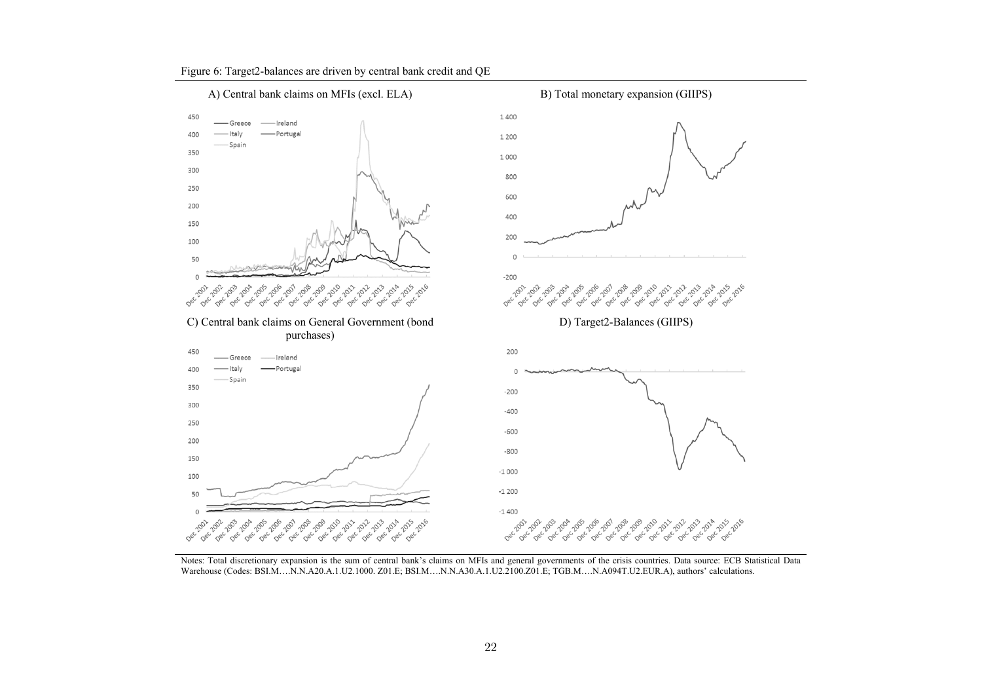

Figure 6: Target2-balances are driven by central bank credit and QE

Notes: Total discretionary expansion is the sum of central bank's claims on MFIs and general governments of the crisis countries. Data source: ECB Statistical Data Warehouse (Codes: BSI.M….N.N.A20.A.1.U2.1000. Z01.E; BSI.M….N.N.A30.A.1.U2.2100.Z01.E; TGB.M….N.A094T.U2.EUR.A), authors' calculations.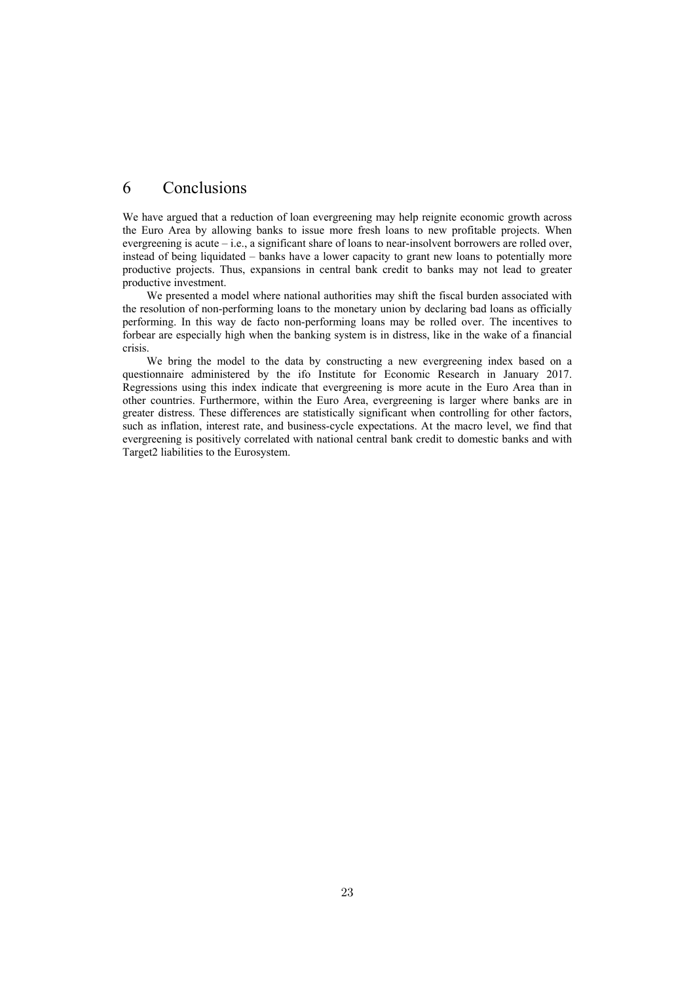#### 6 Conclusions

We have argued that a reduction of loan evergreening may help reignite economic growth across the Euro Area by allowing banks to issue more fresh loans to new profitable projects. When evergreening is acute – i.e., a significant share of loans to near-insolvent borrowers are rolled over, instead of being liquidated – banks have a lower capacity to grant new loans to potentially more productive projects. Thus, expansions in central bank credit to banks may not lead to greater productive investment.

We presented a model where national authorities may shift the fiscal burden associated with the resolution of non-performing loans to the monetary union by declaring bad loans as officially performing. In this way de facto non-performing loans may be rolled over. The incentives to forbear are especially high when the banking system is in distress, like in the wake of a financial crisis.

We bring the model to the data by constructing a new evergreening index based on a questionnaire administered by the ifo Institute for Economic Research in January 2017. Regressions using this index indicate that evergreening is more acute in the Euro Area than in other countries. Furthermore, within the Euro Area, evergreening is larger where banks are in greater distress. These differences are statistically significant when controlling for other factors, such as inflation, interest rate, and business-cycle expectations. At the macro level, we find that evergreening is positively correlated with national central bank credit to domestic banks and with Target2 liabilities to the Eurosystem.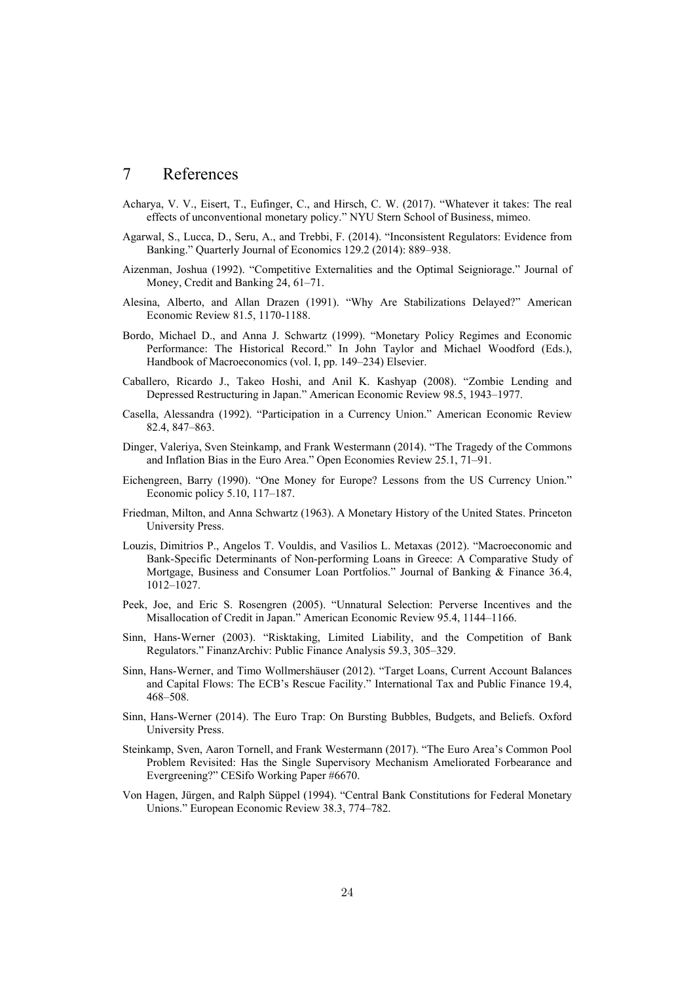#### 7 References

- Acharya, V. V., Eisert, T., Eufinger, C., and Hirsch, C. W. (2017). "Whatever it takes: The real effects of unconventional monetary policy." NYU Stern School of Business, mimeo.
- Agarwal, S., Lucca, D., Seru, A., and Trebbi, F. (2014). "Inconsistent Regulators: Evidence from Banking." Quarterly Journal of Economics 129.2 (2014): 889–938.
- Aizenman, Joshua (1992). "Competitive Externalities and the Optimal Seigniorage." Journal of Money, Credit and Banking 24, 61–71.
- Alesina, Alberto, and Allan Drazen (1991). "Why Are Stabilizations Delayed?" American Economic Review 81.5, 1170-1188.
- Bordo, Michael D., and Anna J. Schwartz (1999). "Monetary Policy Regimes and Economic Performance: The Historical Record." In John Taylor and Michael Woodford (Eds.), Handbook of Macroeconomics (vol. I, pp. 149–234) Elsevier.
- Caballero, Ricardo J., Takeo Hoshi, and Anil K. Kashyap (2008). "Zombie Lending and Depressed Restructuring in Japan." American Economic Review 98.5, 1943–1977.
- Casella, Alessandra (1992). "Participation in a Currency Union." American Economic Review 82.4, 847–863.
- Dinger, Valeriya, Sven Steinkamp, and Frank Westermann (2014). "The Tragedy of the Commons and Inflation Bias in the Euro Area." Open Economies Review 25.1, 71–91.
- Eichengreen, Barry (1990). "One Money for Europe? Lessons from the US Currency Union." Economic policy 5.10, 117–187.
- Friedman, Milton, and Anna Schwartz (1963). A Monetary History of the United States. Princeton University Press.
- Louzis, Dimitrios P., Angelos T. Vouldis, and Vasilios L. Metaxas (2012). "Macroeconomic and Bank-Specific Determinants of Non-performing Loans in Greece: A Comparative Study of Mortgage, Business and Consumer Loan Portfolios." Journal of Banking & Finance 36.4, 1012–1027.
- Peek, Joe, and Eric S. Rosengren (2005). "Unnatural Selection: Perverse Incentives and the Misallocation of Credit in Japan." American Economic Review 95.4, 1144–1166.
- Sinn, Hans-Werner (2003). "Risktaking, Limited Liability, and the Competition of Bank Regulators." FinanzArchiv: Public Finance Analysis 59.3, 305–329.
- Sinn, Hans-Werner, and Timo Wollmershäuser (2012). "Target Loans, Current Account Balances and Capital Flows: The ECB's Rescue Facility." International Tax and Public Finance 19.4, 468–508.
- Sinn, Hans-Werner (2014). The Euro Trap: On Bursting Bubbles, Budgets, and Beliefs. Oxford University Press.
- Steinkamp, Sven, Aaron Tornell, and Frank Westermann (2017). "The Euro Area's Common Pool Problem Revisited: Has the Single Supervisory Mechanism Ameliorated Forbearance and Evergreening?" CESifo Working Paper #6670.
- Von Hagen, Jürgen, and Ralph Süppel (1994). "Central Bank Constitutions for Federal Monetary Unions." European Economic Review 38.3, 774–782.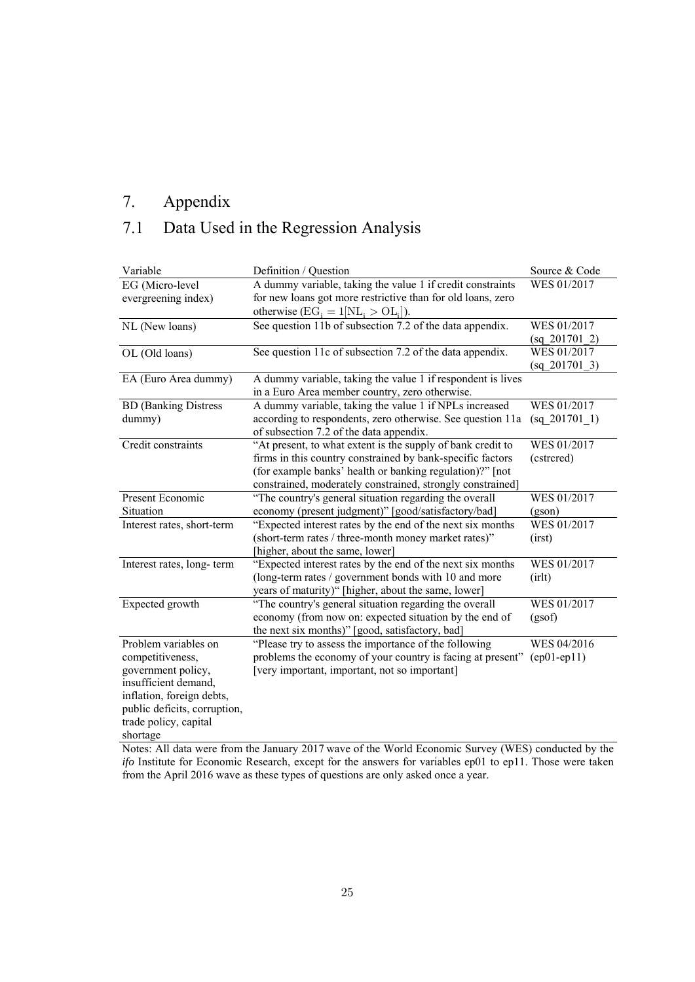### 7. Appendix

### 7.1 Data Used in the Regression Analysis

| Variable                     | Definition / Question                                       | Source & Code   |
|------------------------------|-------------------------------------------------------------|-----------------|
| EG (Micro-level              | A dummy variable, taking the value 1 if credit constraints  | WES 01/2017     |
| evergreening index)          | for new loans got more restrictive than for old loans, zero |                 |
|                              | otherwise $(EG_i = 1[NL_i > OL_i]).$                        |                 |
| NL (New loans)               | See question 11b of subsection 7.2 of the data appendix.    | WES 01/2017     |
|                              |                                                             | $(sq_201701_2)$ |
| OL (Old loans)               | See question 11c of subsection 7.2 of the data appendix.    | WES 01/2017     |
|                              |                                                             | (sq 201701 3)   |
| EA (Euro Area dummy)         | A dummy variable, taking the value 1 if respondent is lives |                 |
|                              | in a Euro Area member country, zero otherwise.              |                 |
| <b>BD</b> (Banking Distress  | A dummy variable, taking the value 1 if NPLs increased      | WES 01/2017     |
| dummy)                       | according to respondents, zero otherwise. See question 11a  | (sq 201701 1)   |
|                              | of subsection 7.2 of the data appendix.                     |                 |
| Credit constraints           | "At present, to what extent is the supply of bank credit to | WES 01/2017     |
|                              | firms in this country constrained by bank-specific factors  | (cstrcred)      |
|                              | (for example banks' health or banking regulation)?" [not    |                 |
|                              | constrained, moderately constrained, strongly constrained]  |                 |
| Present Economic             | "The country's general situation regarding the overall      | WES 01/2017     |
| Situation                    | economy (present judgment)" [good/satisfactory/bad]         | (gson)          |
| Interest rates, short-term   | "Expected interest rates by the end of the next six months  | WES 01/2017     |
|                              | (short-term rates / three-month money market rates)"        | (irst)          |
|                              | [higher, about the same, lower]                             |                 |
| Interest rates, long-term    | "Expected interest rates by the end of the next six months  | WES 01/2017     |
|                              | (long-term rates / government bonds with 10 and more        | (irlt)          |
|                              | years of maturity)" [higher, about the same, lower]         |                 |
| Expected growth              | "The country's general situation regarding the overall      | WES 01/2017     |
|                              | economy (from now on: expected situation by the end of      | (gsof)          |
|                              | the next six months)" [good, satisfactory, bad]             |                 |
| Problem variables on         | "Please try to assess the importance of the following       | WES 04/2016     |
| competitiveness,             | problems the economy of your country is facing at present"  | $(ep01-ep11)$   |
| government policy,           | [very important, important, not so important]               |                 |
| insufficient demand,         |                                                             |                 |
| inflation, foreign debts,    |                                                             |                 |
| public deficits, corruption, |                                                             |                 |
| trade policy, capital        |                                                             |                 |
| shortage                     |                                                             |                 |

Notes: All data were from the January 2017 wave of the World Economic Survey (WES) conducted by the *ifo* Institute for Economic Research, except for the answers for variables ep01 to ep11. Those were taken from the April 2016 wave as these types of questions are only asked once a year.